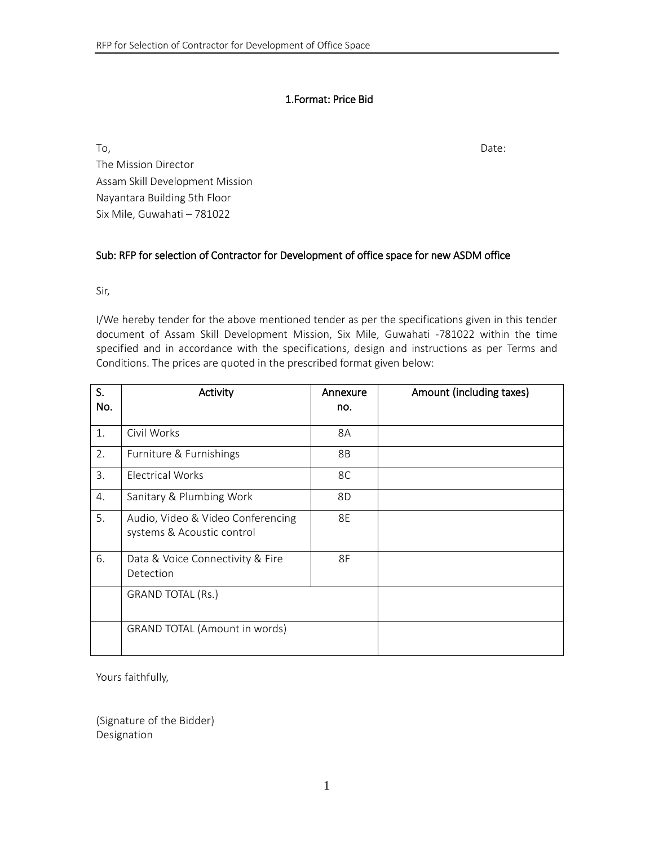### 1.Format: Price Bid

To, the contract of the contract of the contract of the contract of the contract of the Date: The Mission Director Assam Skill Development Mission Nayantara Building 5th Floor Six Mile, Guwahati – 781022

#### Sub: RFP for selection of Contractor for Development of office space for new ASDM office

Sir,

I/We hereby tender for the above mentioned tender as per the specifications given in this tender document of Assam Skill Development Mission, Six Mile, Guwahati -781022 within the time specified and in accordance with the specifications, design and instructions as per Terms and Conditions. The prices are quoted in the prescribed format given below:

| S.<br>No. | Activity                                                        | Annexure<br>no. | Amount (including taxes) |
|-----------|-----------------------------------------------------------------|-----------------|--------------------------|
| 1.        | Civil Works                                                     | 8A              |                          |
| 2.        | Furniture & Furnishings                                         | 8B              |                          |
| 3.        | Electrical Works                                                | 8C              |                          |
| 4.        | Sanitary & Plumbing Work                                        | 8D              |                          |
| 5.        | Audio, Video & Video Conferencing<br>systems & Acoustic control | 8E              |                          |
| 6.        | Data & Voice Connectivity & Fire<br>Detection                   | 8F              |                          |
|           | <b>GRAND TOTAL (Rs.)</b>                                        |                 |                          |
|           | <b>GRAND TOTAL (Amount in words)</b>                            |                 |                          |

Yours faithfully,

(Signature of the Bidder) Designation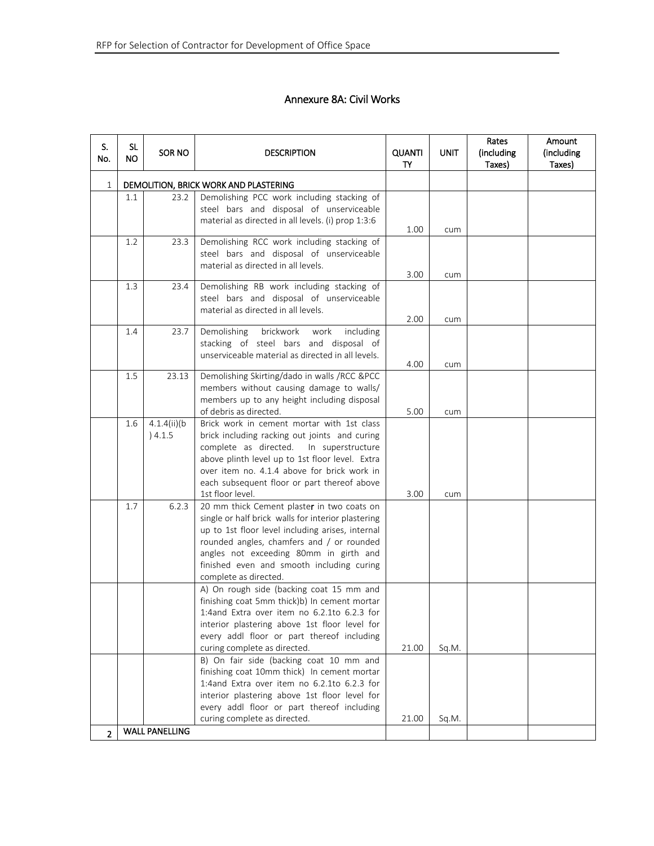# Annexure 8A: Civil Works

| S.<br>No.      | <b>SL</b><br>NO. | SOR NO                     | <b>DESCRIPTION</b>                                                                                                                                                                                                                                                                                                | <b>QUANTI</b><br>TY | UNIT  | Rates<br>(including<br>Taxes) | Amount<br>(including<br>Taxes) |
|----------------|------------------|----------------------------|-------------------------------------------------------------------------------------------------------------------------------------------------------------------------------------------------------------------------------------------------------------------------------------------------------------------|---------------------|-------|-------------------------------|--------------------------------|
| 1              |                  |                            | DEMOLITION, BRICK WORK AND PLASTERING                                                                                                                                                                                                                                                                             |                     |       |                               |                                |
|                | $1.1\,$          | 23.2                       | Demolishing PCC work including stacking of<br>steel bars and disposal of unserviceable<br>material as directed in all levels. (i) prop 1:3:6                                                                                                                                                                      |                     |       |                               |                                |
|                |                  |                            |                                                                                                                                                                                                                                                                                                                   | 1.00                | cum   |                               |                                |
|                | 1.2              | 23.3                       | Demolishing RCC work including stacking of<br>steel bars and disposal of unserviceable<br>material as directed in all levels.                                                                                                                                                                                     | 3.00                | cum   |                               |                                |
|                | 1.3              | 23.4                       | Demolishing RB work including stacking of<br>steel bars and disposal of unserviceable<br>material as directed in all levels.                                                                                                                                                                                      | 2.00                | cum   |                               |                                |
|                | 1.4              | 23.7                       | brickwork<br>Demolishing<br>including<br>work<br>stacking of steel bars and disposal of<br>unserviceable material as directed in all levels.                                                                                                                                                                      | 4.00                | cum   |                               |                                |
|                | 1.5              | 23.13                      | Demolishing Skirting/dado in walls /RCC &PCC<br>members without causing damage to walls/<br>members up to any height including disposal<br>of debris as directed.                                                                                                                                                 | 5.00                | cum   |                               |                                |
|                | 1.6              | $4.1.4(ii)$ (b)<br>) 4.1.5 | Brick work in cement mortar with 1st class<br>brick including racking out joints and curing<br>complete as directed. In superstructure<br>above plinth level up to 1st floor level. Extra<br>over item no. 4.1.4 above for brick work in<br>each subsequent floor or part thereof above<br>1st floor level.       | 3.00                | cum   |                               |                                |
|                | 1.7              | 6.2.3                      | 20 mm thick Cement plaster in two coats on<br>single or half brick walls for interior plastering<br>up to 1st floor level including arises, internal<br>rounded angles, chamfers and / or rounded<br>angles not exceeding 80mm in girth and<br>finished even and smooth including curing<br>complete as directed. |                     |       |                               |                                |
|                |                  |                            | A) On rough side (backing coat 15 mm and<br>finishing coat 5mm thick)b) In cement mortar<br>1:4and Extra over item no 6.2.1to 6.2.3 for<br>interior plastering above 1st floor level for<br>every addl floor or part thereof including<br>curing complete as directed.                                            | 21.00               | Sq.M. |                               |                                |
|                |                  |                            | B) On fair side (backing coat 10 mm and<br>finishing coat 10mm thick) In cement mortar<br>1:4and Extra over item no 6.2.1to 6.2.3 for<br>interior plastering above 1st floor level for<br>every addl floor or part thereof including<br>curing complete as directed.                                              | 21.00               | Sq.M. |                               |                                |
| $\overline{2}$ |                  | <b>WALL PANELLING</b>      |                                                                                                                                                                                                                                                                                                                   |                     |       |                               |                                |
|                |                  |                            |                                                                                                                                                                                                                                                                                                                   |                     |       |                               |                                |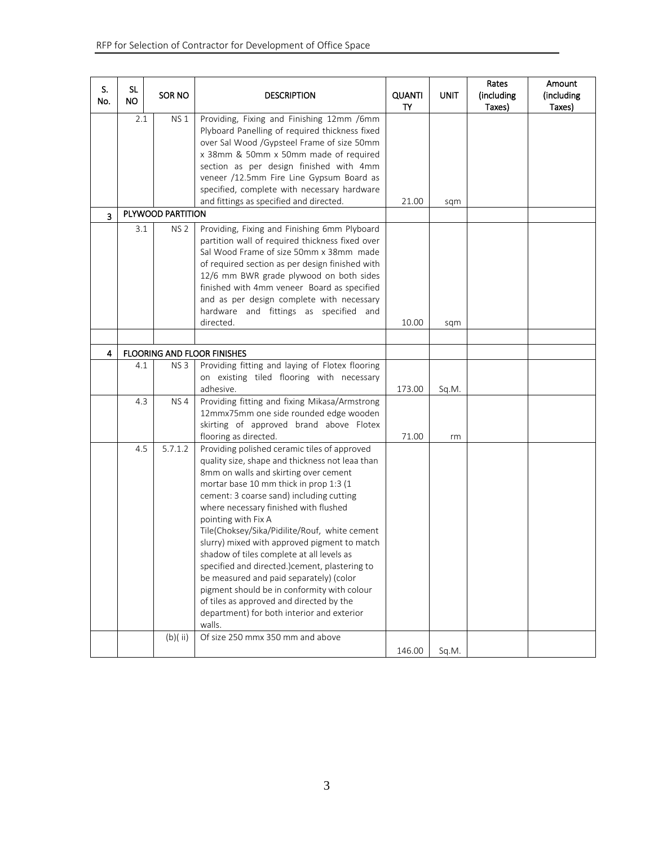| S.<br>No.      | <b>SL</b><br><b>NO</b> | <b>SOR NO</b>     | <b>DESCRIPTION</b>                                                                                                                                                                                                                                                                                                                                                                                                                                                                                                                                                                                                                                                                          | <b>QUANTI</b><br>TY | <b>UNIT</b> | Rates<br>(including<br>Taxes) | Amount<br>(including<br>Taxes) |
|----------------|------------------------|-------------------|---------------------------------------------------------------------------------------------------------------------------------------------------------------------------------------------------------------------------------------------------------------------------------------------------------------------------------------------------------------------------------------------------------------------------------------------------------------------------------------------------------------------------------------------------------------------------------------------------------------------------------------------------------------------------------------------|---------------------|-------------|-------------------------------|--------------------------------|
|                | 2.1                    | <b>NS1</b>        | Providing, Fixing and Finishing 12mm /6mm<br>Plyboard Panelling of required thickness fixed<br>over Sal Wood /Gypsteel Frame of size 50mm<br>x 38mm & 50mm x 50mm made of required<br>section as per design finished with 4mm<br>veneer /12.5mm Fire Line Gypsum Board as                                                                                                                                                                                                                                                                                                                                                                                                                   |                     |             |                               |                                |
|                |                        |                   | specified, complete with necessary hardware<br>and fittings as specified and directed.                                                                                                                                                                                                                                                                                                                                                                                                                                                                                                                                                                                                      | 21.00               | sqm         |                               |                                |
| $\overline{3}$ |                        | PLYWOOD PARTITION |                                                                                                                                                                                                                                                                                                                                                                                                                                                                                                                                                                                                                                                                                             |                     |             |                               |                                |
|                | 3.1                    | <b>NS 2</b>       | Providing, Fixing and Finishing 6mm Plyboard<br>partition wall of required thickness fixed over<br>Sal Wood Frame of size 50mm x 38mm made<br>of required section as per design finished with<br>12/6 mm BWR grade plywood on both sides<br>finished with 4mm veneer Board as specified<br>and as per design complete with necessary<br>hardware and fittings as specified and<br>directed.                                                                                                                                                                                                                                                                                                 | 10.00               | sqm         |                               |                                |
| 4              |                        |                   | <b>FLOORING AND FLOOR FINISHES</b>                                                                                                                                                                                                                                                                                                                                                                                                                                                                                                                                                                                                                                                          |                     |             |                               |                                |
|                | 4.1                    | NS <sub>3</sub>   | Providing fitting and laying of Flotex flooring<br>on existing tiled flooring with necessary<br>adhesive.                                                                                                                                                                                                                                                                                                                                                                                                                                                                                                                                                                                   | 173.00              | Sq.M.       |                               |                                |
|                | 4.3                    | NS4               | Providing fitting and fixing Mikasa/Armstrong<br>12mmx75mm one side rounded edge wooden<br>skirting of approved brand above Flotex<br>flooring as directed.                                                                                                                                                                                                                                                                                                                                                                                                                                                                                                                                 | 71.00               | rm          |                               |                                |
|                | 4.5                    | 5.7.1.2           | Providing polished ceramic tiles of approved<br>quality size, shape and thickness not leaa than<br>8mm on walls and skirting over cement<br>mortar base 10 mm thick in prop 1:3 (1<br>cement: 3 coarse sand) including cutting<br>where necessary finished with flushed<br>pointing with Fix A<br>Tile(Choksey/Sika/Pidilite/Rouf, white cement<br>slurry) mixed with approved pigment to match<br>shadow of tiles complete at all levels as<br>specified and directed.)cement, plastering to<br>be measured and paid separately) (color<br>pigment should be in conformity with colour<br>of tiles as approved and directed by the<br>department) for both interior and exterior<br>walls. |                     |             |                               |                                |
|                |                        | (b)(ii)           | Of size 250 mmx 350 mm and above                                                                                                                                                                                                                                                                                                                                                                                                                                                                                                                                                                                                                                                            | 146.00              | Sq.M.       |                               |                                |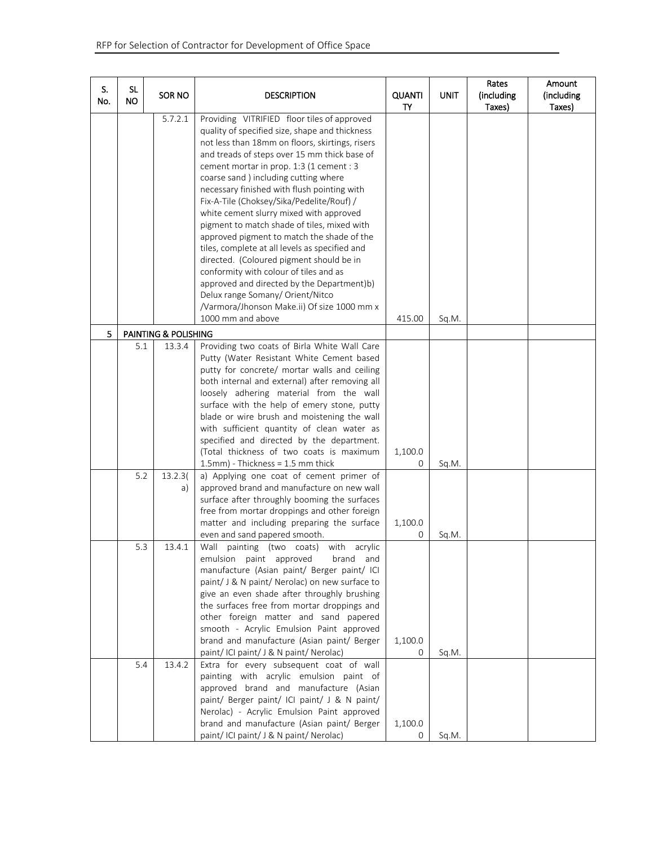| S.<br>No. | <b>SL</b><br><b>NO</b> | <b>SOR NO</b>           | <b>DESCRIPTION</b>                                                                                                                                                                                                                                                                                                                                                                                                                                                                                                                                                                                                                                                                                                                                                                                                      | <b>QUANTI</b><br>TY | <b>UNIT</b> | Rates<br>(including<br>Taxes) | Amount<br>(including<br>Taxes) |
|-----------|------------------------|-------------------------|-------------------------------------------------------------------------------------------------------------------------------------------------------------------------------------------------------------------------------------------------------------------------------------------------------------------------------------------------------------------------------------------------------------------------------------------------------------------------------------------------------------------------------------------------------------------------------------------------------------------------------------------------------------------------------------------------------------------------------------------------------------------------------------------------------------------------|---------------------|-------------|-------------------------------|--------------------------------|
|           |                        | 5.7.2.1                 | Providing VITRIFIED floor tiles of approved<br>quality of specified size, shape and thickness<br>not less than 18mm on floors, skirtings, risers<br>and treads of steps over 15 mm thick base of<br>cement mortar in prop. 1:3 (1 cement : 3<br>coarse sand ) including cutting where<br>necessary finished with flush pointing with<br>Fix-A-Tile (Choksey/Sika/Pedelite/Rouf) /<br>white cement slurry mixed with approved<br>pigment to match shade of tiles, mixed with<br>approved pigment to match the shade of the<br>tiles, complete at all levels as specified and<br>directed. (Coloured pigment should be in<br>conformity with colour of tiles and as<br>approved and directed by the Department)b)<br>Delux range Somany/ Orient/Nitco<br>/Varmora/Jhonson Make.ii) Of size 1000 mm x<br>1000 mm and above | 415.00              | Sq.M.       |                               |                                |
| 5         |                        | PAINTING & POLISHING    |                                                                                                                                                                                                                                                                                                                                                                                                                                                                                                                                                                                                                                                                                                                                                                                                                         |                     |             |                               |                                |
|           | 5.1<br>5.2             | 13.3.4<br>13.2.3(<br>a) | Providing two coats of Birla White Wall Care<br>Putty (Water Resistant White Cement based<br>putty for concrete/ mortar walls and ceiling<br>both internal and external) after removing all<br>loosely adhering material from the wall<br>surface with the help of emery stone, putty<br>blade or wire brush and moistening the wall<br>with sufficient quantity of clean water as<br>specified and directed by the department.<br>(Total thickness of two coats is maximum<br>1.5mm) - Thickness = 1.5 mm thick<br>a) Applying one coat of cement primer of<br>approved brand and manufacture on new wall<br>surface after throughly booming the surfaces                                                                                                                                                              | 1,100.0<br>0        | Sq.M.       |                               |                                |
|           |                        |                         | free from mortar droppings and other foreign<br>matter and including preparing the surface<br>even and sand papered smooth.                                                                                                                                                                                                                                                                                                                                                                                                                                                                                                                                                                                                                                                                                             | 1,100.0<br>0        | Sq.M.       |                               |                                |
|           | 5.3                    | 13.4.1                  | Wall<br>painting<br>(two coats) with acrylic<br>emulsion paint approved<br>brand<br>and<br>manufacture (Asian paint/ Berger paint/ ICI<br>paint/ J & N paint/ Nerolac) on new surface to<br>give an even shade after throughly brushing<br>the surfaces free from mortar droppings and<br>other foreign matter and sand papered<br>smooth - Acrylic Emulsion Paint approved<br>brand and manufacture (Asian paint/ Berger<br>paint/ICI paint/J & N paint/ Nerolac)                                                                                                                                                                                                                                                                                                                                                      | 1,100.0<br>0        | Sq.M.       |                               |                                |
|           | 5.4                    | 13.4.2                  | Extra for every subsequent coat of wall<br>painting with acrylic emulsion paint of<br>approved brand and manufacture (Asian<br>paint/ Berger paint/ ICI paint/ J & N paint/<br>Nerolac) - Acrylic Emulsion Paint approved<br>brand and manufacture (Asian paint/ Berger<br>paint/ICI paint/J & N paint/Nerolac)                                                                                                                                                                                                                                                                                                                                                                                                                                                                                                         | 1,100.0<br>0        | Sq.M.       |                               |                                |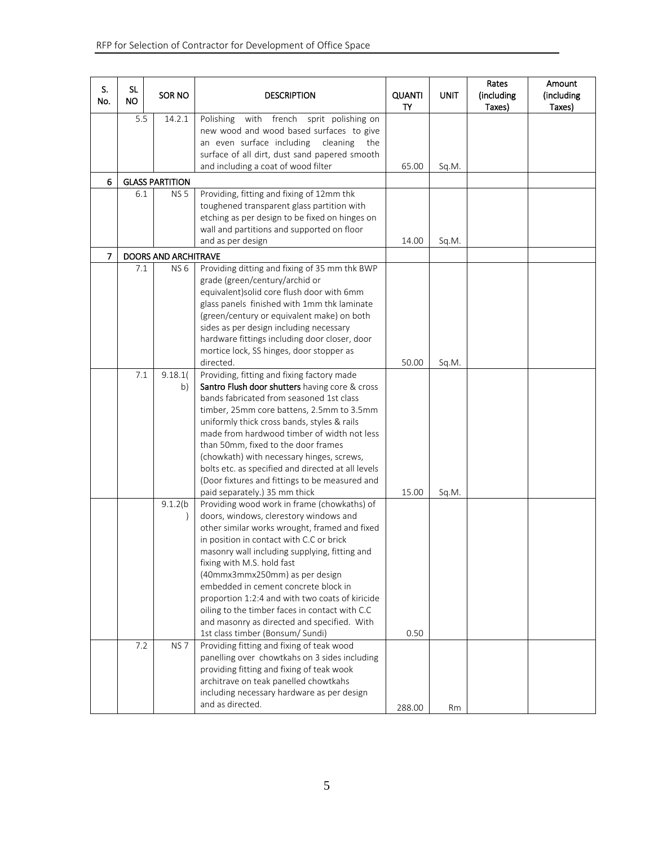| S.<br>No.      | <b>SL</b><br>NO.       | SOR NO                      | <b>DESCRIPTION</b>                                                                                                                                                                                                                                                                                                                                                                                                                                                                                                                  | <b>QUANTI</b><br>TY | UNIT  | Rates<br>(including<br>Taxes) | Amount<br>(including<br>Taxes) |
|----------------|------------------------|-----------------------------|-------------------------------------------------------------------------------------------------------------------------------------------------------------------------------------------------------------------------------------------------------------------------------------------------------------------------------------------------------------------------------------------------------------------------------------------------------------------------------------------------------------------------------------|---------------------|-------|-------------------------------|--------------------------------|
|                | 5.5<br>14.2.1          |                             | Polishing<br>with french sprit polishing on<br>new wood and wood based surfaces to give<br>an even surface including<br>cleaning<br>the<br>surface of all dirt, dust sand papered smooth<br>and including a coat of wood filter                                                                                                                                                                                                                                                                                                     | 65.00               | Sq.M. |                               |                                |
| 6              | <b>GLASS PARTITION</b> |                             |                                                                                                                                                                                                                                                                                                                                                                                                                                                                                                                                     |                     |       |                               |                                |
|                | 6.1                    | <b>NS5</b>                  | Providing, fitting and fixing of 12mm thk<br>toughened transparent glass partition with<br>etching as per design to be fixed on hinges on<br>wall and partitions and supported on floor<br>and as per design                                                                                                                                                                                                                                                                                                                        | 14.00               | Sq.M. |                               |                                |
| $\overline{7}$ |                        | <b>DOORS AND ARCHITRAVE</b> |                                                                                                                                                                                                                                                                                                                                                                                                                                                                                                                                     |                     |       |                               |                                |
|                | 7.1                    | NS <sub>6</sub>             | Providing ditting and fixing of 35 mm thk BWP<br>grade (green/century/archid or<br>equivalent) solid core flush door with 6mm<br>glass panels finished with 1mm thk laminate<br>(green/century or equivalent make) on both<br>sides as per design including necessary<br>hardware fittings including door closer, door<br>mortice lock, SS hinges, door stopper as<br>directed.                                                                                                                                                     | 50.00               | Sq.M. |                               |                                |
|                | 7.1                    | 9.18.1(<br>b)               | Providing, fitting and fixing factory made<br>Santro Flush door shutters having core & cross<br>bands fabricated from seasoned 1st class<br>timber, 25mm core battens, 2.5mm to 3.5mm<br>uniformly thick cross bands, styles & rails<br>made from hardwood timber of width not less<br>than 50mm, fixed to the door frames<br>(chowkath) with necessary hinges, screws,<br>bolts etc. as specified and directed at all levels<br>(Door fixtures and fittings to be measured and<br>paid separately.) 35 mm thick                    | 15.00               | Sq.M. |                               |                                |
|                |                        | 9.1.2(b)                    | Providing wood work in frame (chowkaths) of<br>doors, windows, clerestory windows and<br>other similar works wrought, framed and fixed<br>in position in contact with C.C or brick<br>masonry wall including supplying, fitting and<br>fixing with M.S. hold fast<br>(40mmx3mmx250mm) as per design<br>embedded in cement concrete block in<br>proportion 1:2:4 and with two coats of kiricide<br>oiling to the timber faces in contact with C.C<br>and masonry as directed and specified. With<br>1st class timber (Bonsum/ Sundi) | 0.50                |       |                               |                                |
|                | 7.2                    | NS <sub>7</sub>             | Providing fitting and fixing of teak wood<br>panelling over chowtkahs on 3 sides including<br>providing fitting and fixing of teak wook<br>architrave on teak panelled chowtkahs<br>including necessary hardware as per design<br>and as directed.                                                                                                                                                                                                                                                                                  | 288.00              | Rm    |                               |                                |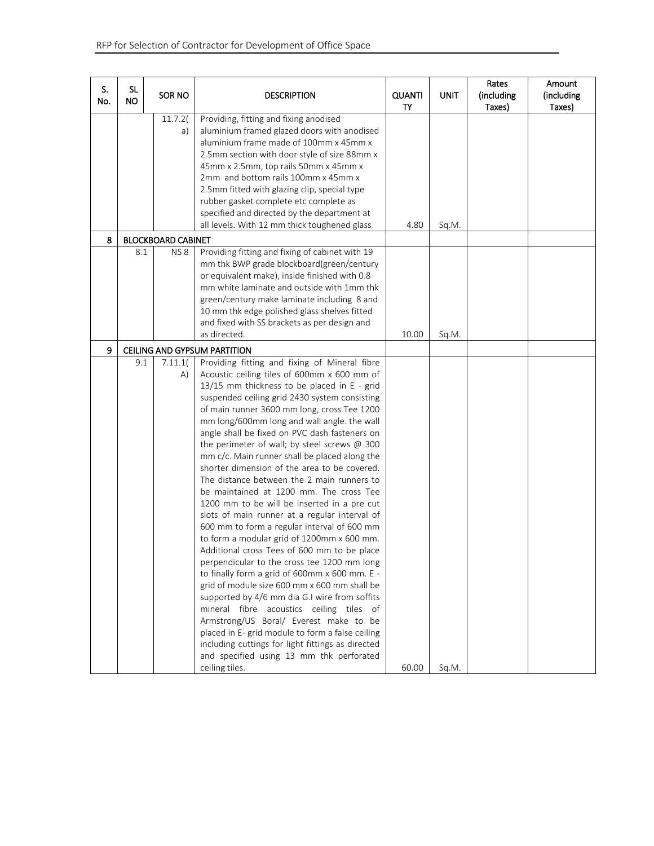| S.<br>No. | SL<br><b>NO</b> | SOR NO                    | <b>DESCRIPTION</b>                                                                                                                                                                                                                                                                                                                                                                                                                                                                                                                                                                                                                                                                                                                                                                                                                                                                                                                                                                                                                                                                                                                                                                                                                                                                               | <b>QUANTI</b><br>TY | <b>UNIT</b> | Rates<br>(including<br>Taxes) | Amount<br>(including<br>Taxes) |
|-----------|-----------------|---------------------------|--------------------------------------------------------------------------------------------------------------------------------------------------------------------------------------------------------------------------------------------------------------------------------------------------------------------------------------------------------------------------------------------------------------------------------------------------------------------------------------------------------------------------------------------------------------------------------------------------------------------------------------------------------------------------------------------------------------------------------------------------------------------------------------------------------------------------------------------------------------------------------------------------------------------------------------------------------------------------------------------------------------------------------------------------------------------------------------------------------------------------------------------------------------------------------------------------------------------------------------------------------------------------------------------------|---------------------|-------------|-------------------------------|--------------------------------|
|           |                 | 11.7.2(<br>a)             | Providing, fitting and fixing anodised<br>aluminium framed glazed doors with anodised<br>aluminium frame made of 100mm x 45mm x<br>2.5mm section with door style of size 88mm x<br>45mm x 2.5mm, top rails 50mm x 45mm x<br>2mm and bottom rails 100mm x 45mm x<br>2.5mm fitted with glazing clip, special type<br>rubber gasket complete etc complete as<br>specified and directed by the department at<br>all levels. With 12 mm thick toughened glass                                                                                                                                                                                                                                                                                                                                                                                                                                                                                                                                                                                                                                                                                                                                                                                                                                         | 4.80                | Sq.M.       |                               |                                |
| 8         |                 | <b>BLOCKBOARD CABINET</b> |                                                                                                                                                                                                                                                                                                                                                                                                                                                                                                                                                                                                                                                                                                                                                                                                                                                                                                                                                                                                                                                                                                                                                                                                                                                                                                  |                     |             |                               |                                |
|           | 8.1             | NS <sub>8</sub>           | Providing fitting and fixing of cabinet with 19<br>mm thk BWP grade blockboard(green/century<br>or equivalent make), inside finished with 0.8<br>mm white laminate and outside with 1mm thk<br>green/century make laminate including 8 and<br>10 mm thk edge polished glass shelves fitted<br>and fixed with SS brackets as per design and<br>as directed.                                                                                                                                                                                                                                                                                                                                                                                                                                                                                                                                                                                                                                                                                                                                                                                                                                                                                                                                       | 10.00               | Sq.M.       |                               |                                |
| 9         |                 |                           | CEILING AND GYPSUM PARTITION                                                                                                                                                                                                                                                                                                                                                                                                                                                                                                                                                                                                                                                                                                                                                                                                                                                                                                                                                                                                                                                                                                                                                                                                                                                                     |                     |             |                               |                                |
|           | 9.1             | 7.11.1(<br>A)             | Providing fitting and fixing of Mineral fibre<br>Acoustic ceiling tiles of 600mm x 600 mm of<br>13/15 mm thickness to be placed in E - grid<br>suspended ceiling grid 2430 system consisting<br>of main runner 3600 mm long, cross Tee 1200<br>mm long/600mm long and wall angle. the wall<br>angle shall be fixed on PVC dash fasteners on<br>the perimeter of wall; by steel screws $@300$<br>mm c/c. Main runner shall be placed along the<br>shorter dimension of the area to be covered.<br>The distance between the 2 main runners to<br>be maintained at 1200 mm. The cross Tee<br>1200 mm to be will be inserted in a pre cut<br>slots of main runner at a regular interval of<br>600 mm to form a regular interval of 600 mm<br>to form a modular grid of 1200mm x 600 mm.<br>Additional cross Tees of 600 mm to be place<br>perpendicular to the cross tee 1200 mm long<br>to finally form a grid of 600mm x 600 mm. E -<br>grid of module size 600 mm x 600 mm shall be<br>supported by 4/6 mm dia G.I wire from soffits<br>mineral fibre acoustics ceiling tiles of<br>Armstrong/US Boral/ Everest make to be<br>placed in E- grid module to form a false ceiling<br>including cuttings for light fittings as directed<br>and specified using 13 mm thk perforated<br>ceiling tiles. | 60.00               | Sq.M.       |                               |                                |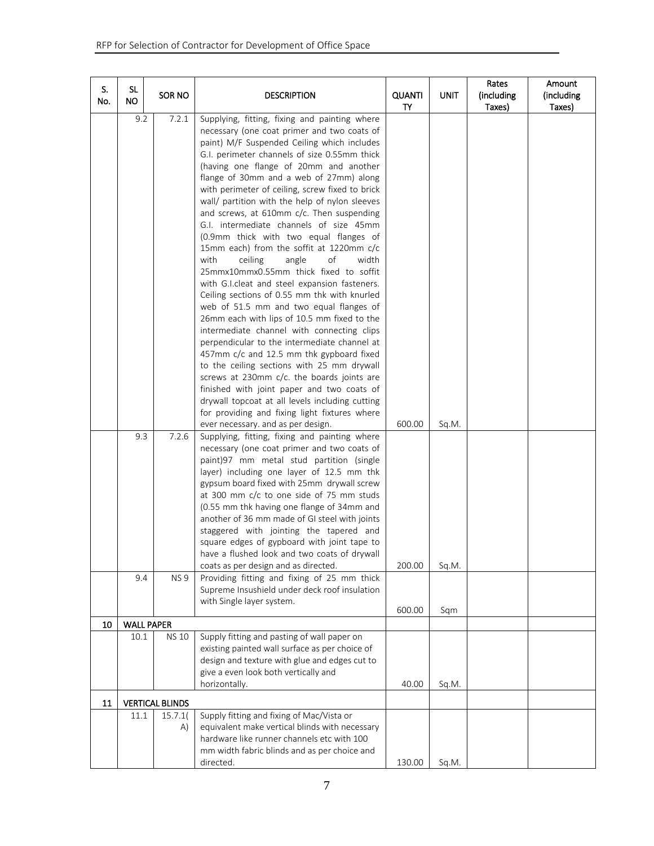| S.<br>No. | SL<br>NO.                       | SOR NO                   | <b>DESCRIPTION</b>                                                                                                                                                                                                                                                                                                                                                                                                                                                                                                                                                                                                                                                                                                                                                                                                                                                                                                                                                                                                                                                                                                                                                                                                                                                                | <b>QUANTI</b><br>TY | <b>UNIT</b>  | Rates<br>(including<br>Taxes) | Amount<br>(including<br>Taxes) |
|-----------|---------------------------------|--------------------------|-----------------------------------------------------------------------------------------------------------------------------------------------------------------------------------------------------------------------------------------------------------------------------------------------------------------------------------------------------------------------------------------------------------------------------------------------------------------------------------------------------------------------------------------------------------------------------------------------------------------------------------------------------------------------------------------------------------------------------------------------------------------------------------------------------------------------------------------------------------------------------------------------------------------------------------------------------------------------------------------------------------------------------------------------------------------------------------------------------------------------------------------------------------------------------------------------------------------------------------------------------------------------------------|---------------------|--------------|-------------------------------|--------------------------------|
|           | 9.2                             | 7.2.1                    | Supplying, fitting, fixing and painting where<br>necessary (one coat primer and two coats of<br>paint) M/F Suspended Ceiling which includes<br>G.I. perimeter channels of size 0.55mm thick<br>(having one flange of 20mm and another<br>flange of 30mm and a web of 27mm) along<br>with perimeter of ceiling, screw fixed to brick<br>wall/ partition with the help of nylon sleeves<br>and screws, at 610mm c/c. Then suspending<br>G.I. intermediate channels of size 45mm<br>(0.9mm thick with two equal flanges of<br>15mm each) from the soffit at 1220mm c/c<br>with<br>ceiling<br>angle<br>of<br>width<br>25mmx10mmx0.55mm thick fixed to soffit<br>with G.I.cleat and steel expansion fasteners.<br>Ceiling sections of 0.55 mm thk with knurled<br>web of 51.5 mm and two equal flanges of<br>26mm each with lips of 10.5 mm fixed to the<br>intermediate channel with connecting clips<br>perpendicular to the intermediate channel at<br>457mm c/c and 12.5 mm thk gypboard fixed<br>to the ceiling sections with 25 mm drywall<br>screws at 230mm c/c. the boards joints are<br>finished with joint paper and two coats of<br>drywall topcoat at all levels including cutting<br>for providing and fixing light fixtures where<br>ever necessary. and as per design. | 600.00              | Sq.M.        |                               |                                |
| 10        | 9.3<br>9.4<br><b>WALL PAPER</b> | 7.2.6<br>NS <sub>9</sub> | Supplying, fitting, fixing and painting where<br>necessary (one coat primer and two coats of<br>paint)97 mm metal stud partition (single<br>layer) including one layer of 12.5 mm thk<br>gypsum board fixed with 25mm drywall screw<br>at 300 mm c/c to one side of 75 mm studs<br>(0.55 mm thk having one flange of 34mm and<br>another of 36 mm made of GI steel with joints<br>staggered with jointing the tapered and<br>square edges of gypboard with joint tape to<br>have a flushed look and two coats of drywall<br>coats as per design and as directed.<br>Providing fitting and fixing of 25 mm thick<br>Supreme Insushield under deck roof insulation<br>with Single layer system.                                                                                                                                                                                                                                                                                                                                                                                                                                                                                                                                                                                     | 200.00<br>600.00    | Sq.M.<br>Sqm |                               |                                |
|           |                                 |                          |                                                                                                                                                                                                                                                                                                                                                                                                                                                                                                                                                                                                                                                                                                                                                                                                                                                                                                                                                                                                                                                                                                                                                                                                                                                                                   |                     |              |                               |                                |
|           | 10.1                            | <b>NS 10</b>             | Supply fitting and pasting of wall paper on<br>existing painted wall surface as per choice of<br>design and texture with glue and edges cut to<br>give a even look both vertically and<br>horizontally.                                                                                                                                                                                                                                                                                                                                                                                                                                                                                                                                                                                                                                                                                                                                                                                                                                                                                                                                                                                                                                                                           | 40.00               | Sq.M.        |                               |                                |
| 11        |                                 | <b>VERTICAL BLINDS</b>   |                                                                                                                                                                                                                                                                                                                                                                                                                                                                                                                                                                                                                                                                                                                                                                                                                                                                                                                                                                                                                                                                                                                                                                                                                                                                                   |                     |              |                               |                                |
|           | 11.1                            | 15.7.1(<br>A)            | Supply fitting and fixing of Mac/Vista or<br>equivalent make vertical blinds with necessary<br>hardware like runner channels etc with 100<br>mm width fabric blinds and as per choice and<br>directed.                                                                                                                                                                                                                                                                                                                                                                                                                                                                                                                                                                                                                                                                                                                                                                                                                                                                                                                                                                                                                                                                            | 130.00              | Sq.M.        |                               |                                |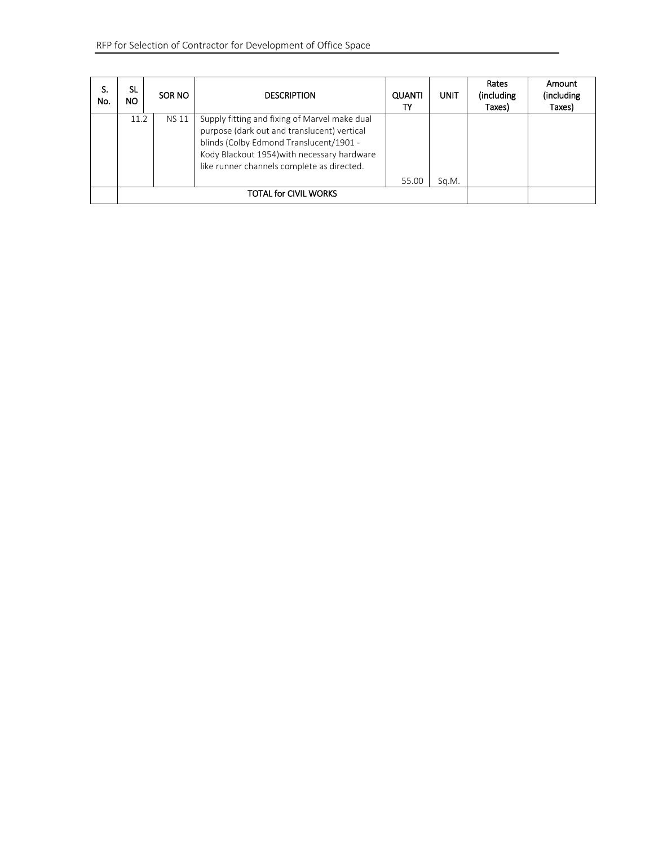| S.<br>No. | SL.<br>NO. | SOR NO       | <b>DESCRIPTION</b>                                                                                                                                                                                                                   | <b>QUANTI</b> | <b>UNIT</b> | Rates<br>(including<br>Taxes) | Amount<br>(including<br>Taxes) |
|-----------|------------|--------------|--------------------------------------------------------------------------------------------------------------------------------------------------------------------------------------------------------------------------------------|---------------|-------------|-------------------------------|--------------------------------|
|           | 11.2       | <b>NS 11</b> | Supply fitting and fixing of Marvel make dual<br>purpose (dark out and translucent) vertical<br>blinds (Colby Edmond Translucent/1901 -<br>Kody Blackout 1954) with necessary hardware<br>like runner channels complete as directed. | 55.00         | Sq.M.       |                               |                                |
|           |            |              |                                                                                                                                                                                                                                      |               |             |                               |                                |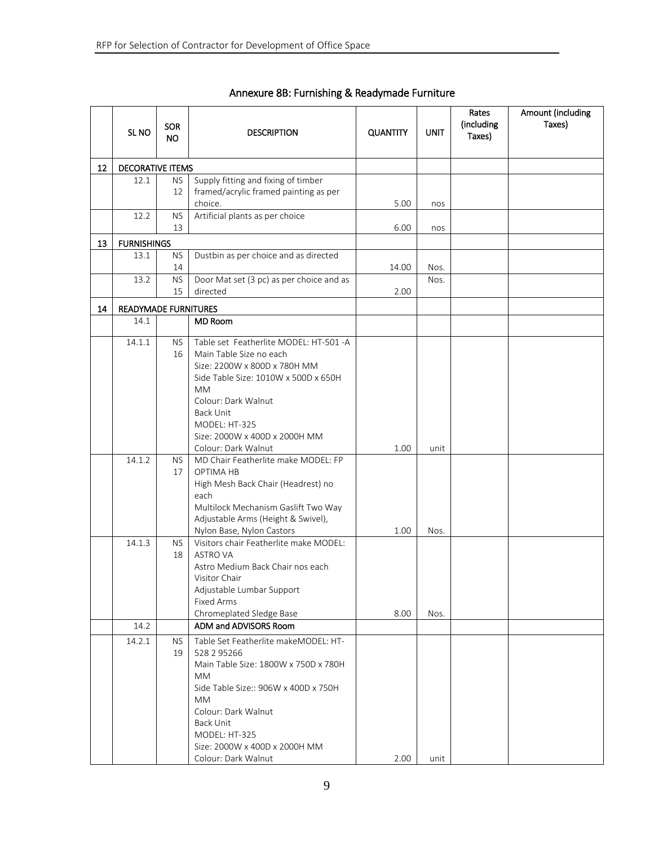|    | SL <sub>NO</sub>            | <b>SOR</b><br>NO. | <b>DESCRIPTION</b>                                                                                                                                                                                                                                                         | <b>QUANTITY</b> | <b>UNIT</b> | Rates<br>(including<br>Taxes) | Amount (including<br>Taxes) |
|----|-----------------------------|-------------------|----------------------------------------------------------------------------------------------------------------------------------------------------------------------------------------------------------------------------------------------------------------------------|-----------------|-------------|-------------------------------|-----------------------------|
| 12 | <b>DECORATIVE ITEMS</b>     |                   |                                                                                                                                                                                                                                                                            |                 |             |                               |                             |
|    | 12.1                        | <b>NS</b><br>12   | Supply fitting and fixing of timber<br>framed/acrylic framed painting as per                                                                                                                                                                                               |                 |             |                               |                             |
|    | 12.2                        | <b>NS</b>         | choice.<br>Artificial plants as per choice                                                                                                                                                                                                                                 | 5.00            | nos         |                               |                             |
|    |                             | 13                |                                                                                                                                                                                                                                                                            | 6.00            | nos         |                               |                             |
| 13 | <b>FURNISHINGS</b>          |                   |                                                                                                                                                                                                                                                                            |                 |             |                               |                             |
|    | 13.1                        | <b>NS</b><br>14   | Dustbin as per choice and as directed                                                                                                                                                                                                                                      | 14.00           | Nos.        |                               |                             |
|    | 13.2                        | <b>NS</b><br>15   | Door Mat set (3 pc) as per choice and as<br>directed                                                                                                                                                                                                                       | 2.00            | Nos.        |                               |                             |
| 14 | <b>READYMADE FURNITURES</b> |                   |                                                                                                                                                                                                                                                                            |                 |             |                               |                             |
|    | 14.1                        |                   | <b>MD Room</b>                                                                                                                                                                                                                                                             |                 |             |                               |                             |
|    | 14.1.1                      | NS.<br>16         | Table set Featherlite MODEL: HT-501 -A<br>Main Table Size no each<br>Size: 2200W x 800D x 780H MM<br>Side Table Size: 1010W x 500D x 650H<br><b>MM</b><br>Colour: Dark Walnut<br><b>Back Unit</b><br>MODEL: HT-325<br>Size: 2000W x 400D x 2000H MM<br>Colour: Dark Walnut | 1.00            | unit        |                               |                             |
|    | 14.1.2                      | <b>NS</b><br>17   | MD Chair Featherlite make MODEL: FP<br>OPTIMA HB<br>High Mesh Back Chair (Headrest) no<br>each<br>Multilock Mechanism Gaslift Two Way<br>Adjustable Arms (Height & Swivel),<br>Nylon Base, Nylon Castors                                                                   | 1.00            | Nos.        |                               |                             |
|    | 14.1.3<br>14.2              | <b>NS</b><br>18   | Visitors chair Featherlite make MODEL:<br><b>ASTRO VA</b><br>Astro Medium Back Chair nos each<br>Visitor Chair<br>Adjustable Lumbar Support<br><b>Fixed Arms</b><br>Chromeplated Sledge Base<br>ADM and ADVISORS Room                                                      | 8.00            | Nos.        |                               |                             |
|    | 14.2.1                      | <b>NS</b>         | Table Set Featherlite makeMODEL: HT-                                                                                                                                                                                                                                       |                 |             |                               |                             |
|    |                             | 19                | 528 2 95266<br>Main Table Size: 1800W x 750D x 780H<br>MM<br>Side Table Size:: 906W x 400D x 750H<br>$\mathsf{MM}$<br>Colour: Dark Walnut<br><b>Back Unit</b><br>MODEL: HT-325<br>Size: 2000W x 400D x 2000H MM<br>Colour: Dark Walnut                                     | 2.00            | unit        |                               |                             |

# Annexure 8B: Furnishing & Readymade Furniture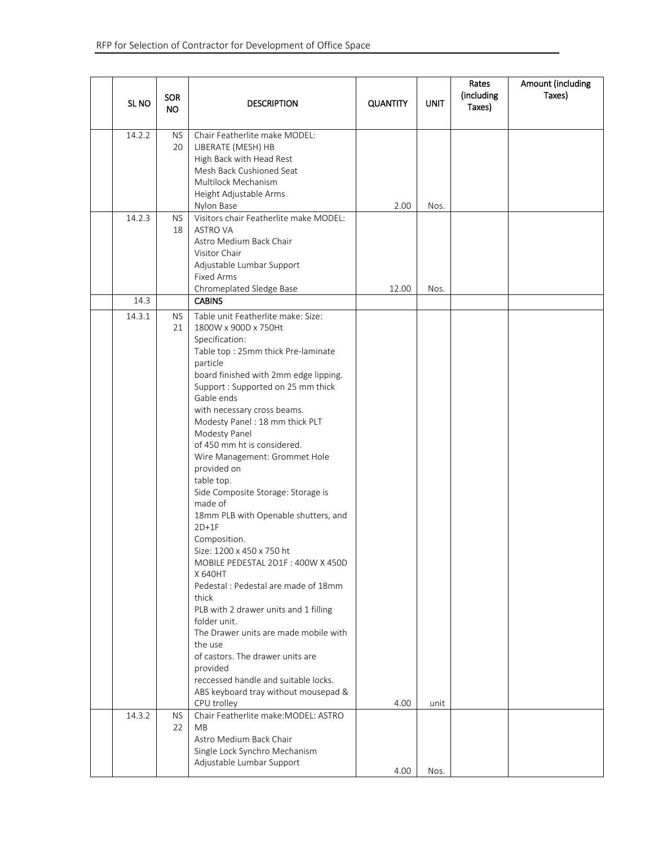| SL <sub>NO</sub> | <b>SOR</b><br><b>NO</b> | <b>DESCRIPTION</b>                                                                                                                                                                                                                                                                                                                                                                                                                                                                                                                                                                                                                                                                                                                                                                                                                                                                                                      | <b>QUANTITY</b> | <b>UNIT</b> | Rates<br>(including<br>Taxes) | Amount (including<br>Taxes) |
|------------------|-------------------------|-------------------------------------------------------------------------------------------------------------------------------------------------------------------------------------------------------------------------------------------------------------------------------------------------------------------------------------------------------------------------------------------------------------------------------------------------------------------------------------------------------------------------------------------------------------------------------------------------------------------------------------------------------------------------------------------------------------------------------------------------------------------------------------------------------------------------------------------------------------------------------------------------------------------------|-----------------|-------------|-------------------------------|-----------------------------|
| 14.2.2           | <b>NS</b><br>20         | Chair Featherlite make MODEL:<br>LIBERATE (MESH) HB<br>High Back with Head Rest<br>Mesh Back Cushioned Seat<br>Multilock Mechanism<br>Height Adjustable Arms<br>Nylon Base                                                                                                                                                                                                                                                                                                                                                                                                                                                                                                                                                                                                                                                                                                                                              | 2.00            | Nos.        |                               |                             |
| 14.2.3           | <b>NS</b><br>18         | Visitors chair Featherlite make MODEL:<br><b>ASTRO VA</b><br>Astro Medium Back Chair<br>Visitor Chair<br>Adjustable Lumbar Support<br><b>Fixed Arms</b><br>Chromeplated Sledge Base                                                                                                                                                                                                                                                                                                                                                                                                                                                                                                                                                                                                                                                                                                                                     | 12.00           | Nos.        |                               |                             |
| 14.3             |                         | <b>CABINS</b>                                                                                                                                                                                                                                                                                                                                                                                                                                                                                                                                                                                                                                                                                                                                                                                                                                                                                                           |                 |             |                               |                             |
| 14.3.1           | <b>NS</b><br>21         | Table unit Featherlite make: Size:<br>1800W x 900D x 750Ht<br>Specification:<br>Table top: 25mm thick Pre-laminate<br>particle<br>board finished with 2mm edge lipping.<br>Support : Supported on 25 mm thick<br>Gable ends<br>with necessary cross beams.<br>Modesty Panel: 18 mm thick PLT<br>Modesty Panel<br>of 450 mm ht is considered.<br>Wire Management: Grommet Hole<br>provided on<br>table top.<br>Side Composite Storage: Storage is<br>made of<br>18mm PLB with Openable shutters, and<br>$2D+1F$<br>Composition.<br>Size: 1200 x 450 x 750 ht<br>MOBILE PEDESTAL 2D1F: 400W X 450D<br>X 640HT<br>Pedestal: Pedestal are made of 18mm<br>thick<br>PLB with 2 drawer units and 1 filling<br>folder unit.<br>The Drawer units are made mobile with<br>the use<br>of castors. The drawer units are<br>provided<br>reccessed handle and suitable locks.<br>ABS keyboard tray without mousepad &<br>CPU trolley | 4.00            | unit        |                               |                             |
| 14.3.2           | <b>NS</b><br>22         | Chair Featherlite make: MODEL: ASTRO<br><b>MB</b><br>Astro Medium Back Chair<br>Single Lock Synchro Mechanism                                                                                                                                                                                                                                                                                                                                                                                                                                                                                                                                                                                                                                                                                                                                                                                                           |                 |             |                               |                             |
|                  |                         | Adjustable Lumbar Support                                                                                                                                                                                                                                                                                                                                                                                                                                                                                                                                                                                                                                                                                                                                                                                                                                                                                               | 4.00            | Nos.        |                               |                             |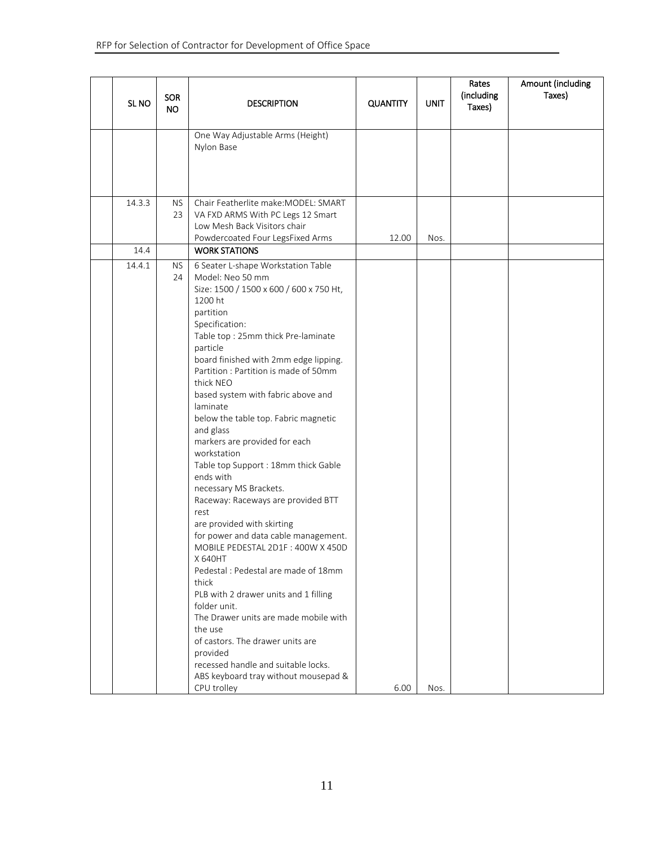|                  | <b>SOR</b> |                                                                                                                                                                                                                                                                                                                                                                                                                                                                                                                                                                                                                                                                                                                                                                                                                                                                                                                                                                                                                   |                 |             | Rates<br>(including | Amount (including<br>Taxes) |
|------------------|------------|-------------------------------------------------------------------------------------------------------------------------------------------------------------------------------------------------------------------------------------------------------------------------------------------------------------------------------------------------------------------------------------------------------------------------------------------------------------------------------------------------------------------------------------------------------------------------------------------------------------------------------------------------------------------------------------------------------------------------------------------------------------------------------------------------------------------------------------------------------------------------------------------------------------------------------------------------------------------------------------------------------------------|-----------------|-------------|---------------------|-----------------------------|
| SL <sub>NO</sub> | <b>NO</b>  | <b>DESCRIPTION</b>                                                                                                                                                                                                                                                                                                                                                                                                                                                                                                                                                                                                                                                                                                                                                                                                                                                                                                                                                                                                | <b>QUANTITY</b> | <b>UNIT</b> | Taxes)              |                             |
|                  |            | One Way Adjustable Arms (Height)<br>Nylon Base                                                                                                                                                                                                                                                                                                                                                                                                                                                                                                                                                                                                                                                                                                                                                                                                                                                                                                                                                                    |                 |             |                     |                             |
| 14.3.3           | NS.<br>23  | Chair Featherlite make: MODEL: SMART<br>VA FXD ARMS With PC Legs 12 Smart<br>Low Mesh Back Visitors chair<br>Powdercoated Four LegsFixed Arms                                                                                                                                                                                                                                                                                                                                                                                                                                                                                                                                                                                                                                                                                                                                                                                                                                                                     | 12.00           | Nos.        |                     |                             |
| 14.4             |            | <b>WORK STATIONS</b>                                                                                                                                                                                                                                                                                                                                                                                                                                                                                                                                                                                                                                                                                                                                                                                                                                                                                                                                                                                              |                 |             |                     |                             |
| 14.4.1           | NS.<br>24  | 6 Seater L-shape Workstation Table<br>Model: Neo 50 mm<br>Size: 1500 / 1500 x 600 / 600 x 750 Ht,<br>1200 ht<br>partition<br>Specification:<br>Table top: 25mm thick Pre-laminate<br>particle<br>board finished with 2mm edge lipping.<br>Partition : Partition is made of 50mm<br>thick NEO<br>based system with fabric above and<br>laminate<br>below the table top. Fabric magnetic<br>and glass<br>markers are provided for each<br>workstation<br>Table top Support : 18mm thick Gable<br>ends with<br>necessary MS Brackets.<br>Raceway: Raceways are provided BTT<br>rest<br>are provided with skirting<br>for power and data cable management.<br>MOBILE PEDESTAL 2D1F: 400W X 450D<br>X 640HT<br>Pedestal: Pedestal are made of 18mm<br>thick<br>PLB with 2 drawer units and 1 filling<br>folder unit.<br>The Drawer units are made mobile with<br>the use<br>of castors. The drawer units are<br>provided<br>recessed handle and suitable locks.<br>ABS keyboard tray without mousepad &<br>CPU trolley | 6.00            | Nos.        |                     |                             |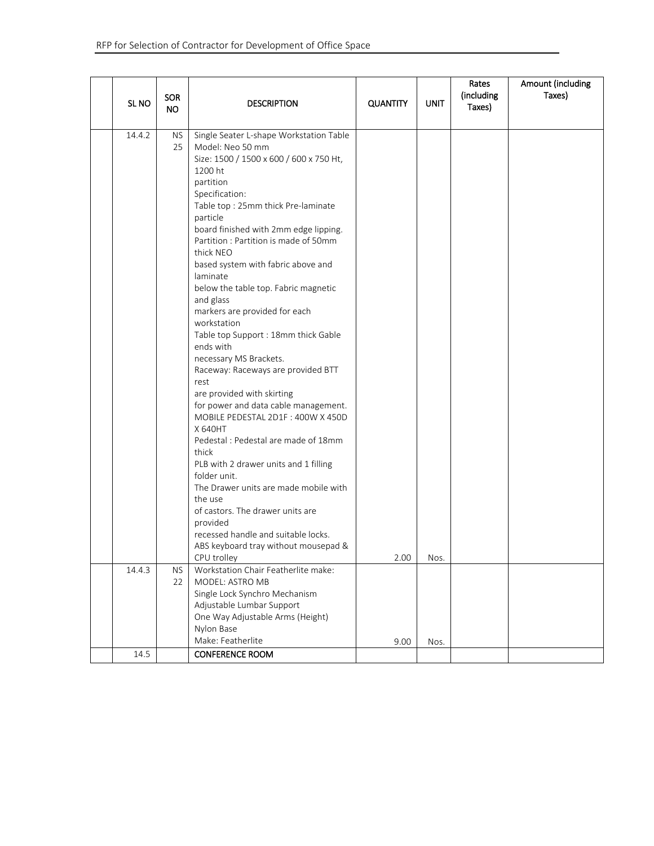| SL <sub>NO</sub> | <b>SOR</b><br><b>NO</b> | <b>DESCRIPTION</b>                                                                                                                                                                                                                                                                                                                                                                                                                                                                                                                                                                                                                                                                                                                                                                                                                                                                                                                                                                                                    | <b>QUANTITY</b> | <b>UNIT</b> | Rates<br>(including<br>Taxes) | Amount (including<br>Taxes) |
|------------------|-------------------------|-----------------------------------------------------------------------------------------------------------------------------------------------------------------------------------------------------------------------------------------------------------------------------------------------------------------------------------------------------------------------------------------------------------------------------------------------------------------------------------------------------------------------------------------------------------------------------------------------------------------------------------------------------------------------------------------------------------------------------------------------------------------------------------------------------------------------------------------------------------------------------------------------------------------------------------------------------------------------------------------------------------------------|-----------------|-------------|-------------------------------|-----------------------------|
| 14.4.2           | <b>NS</b><br>25         | Single Seater L-shape Workstation Table<br>Model: Neo 50 mm<br>Size: 1500 / 1500 x 600 / 600 x 750 Ht,<br>1200 ht<br>partition<br>Specification:<br>Table top: 25mm thick Pre-laminate<br>particle<br>board finished with 2mm edge lipping.<br>Partition: Partition is made of 50mm<br>thick NEO<br>based system with fabric above and<br>laminate<br>below the table top. Fabric magnetic<br>and glass<br>markers are provided for each<br>workstation<br>Table top Support : 18mm thick Gable<br>ends with<br>necessary MS Brackets.<br>Raceway: Raceways are provided BTT<br>rest<br>are provided with skirting<br>for power and data cable management.<br>MOBILE PEDESTAL 2D1F: 400W X 450D<br>X 640HT<br>Pedestal: Pedestal are made of 18mm<br>thick<br>PLB with 2 drawer units and 1 filling<br>folder unit.<br>The Drawer units are made mobile with<br>the use<br>of castors. The drawer units are<br>provided<br>recessed handle and suitable locks.<br>ABS keyboard tray without mousepad &<br>CPU trolley | 2.00            | Nos.        |                               |                             |
| 14.4.3           | <b>NS</b><br>22         | Workstation Chair Featherlite make:<br>MODEL: ASTRO MB<br>Single Lock Synchro Mechanism<br>Adjustable Lumbar Support<br>One Way Adjustable Arms (Height)                                                                                                                                                                                                                                                                                                                                                                                                                                                                                                                                                                                                                                                                                                                                                                                                                                                              |                 |             |                               |                             |
|                  |                         | Nylon Base<br>Make: Featherlite                                                                                                                                                                                                                                                                                                                                                                                                                                                                                                                                                                                                                                                                                                                                                                                                                                                                                                                                                                                       | 9.00            | Nos.        |                               |                             |
| 14.5             |                         | <b>CONFERENCE ROOM</b>                                                                                                                                                                                                                                                                                                                                                                                                                                                                                                                                                                                                                                                                                                                                                                                                                                                                                                                                                                                                |                 |             |                               |                             |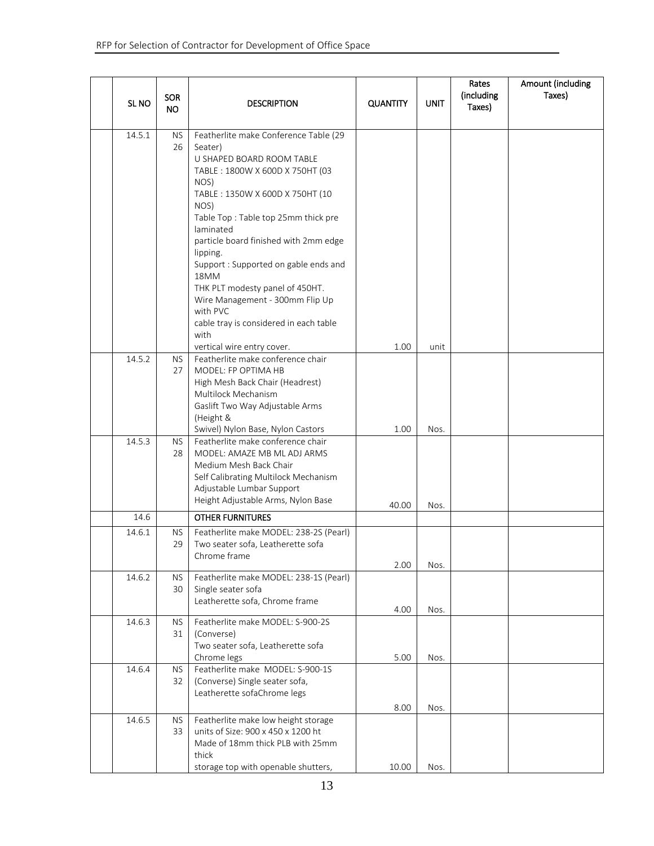| SL <sub>NO</sub> | <b>SOR</b><br><b>NO</b> | <b>DESCRIPTION</b>                                                                                                                                                                                                                    | <b>QUANTITY</b> | <b>UNIT</b>  | Rates<br>(including<br>Taxes) | Amount (including<br>Taxes) |
|------------------|-------------------------|---------------------------------------------------------------------------------------------------------------------------------------------------------------------------------------------------------------------------------------|-----------------|--------------|-------------------------------|-----------------------------|
| 14.5.1           | <b>NS</b><br>26         | Featherlite make Conference Table (29<br>Seater)<br>U SHAPED BOARD ROOM TABLE<br>TABLE: 1800W X 600D X 750HT (03<br>NOS)<br>TABLE: 1350W X 600D X 750HT (10<br>NOS)<br>Table Top: Table top 25mm thick pre<br>laminated               |                 |              |                               |                             |
|                  |                         | particle board finished with 2mm edge<br>lipping.<br>Support : Supported on gable ends and<br>18MM<br>THK PLT modesty panel of 450HT.<br>Wire Management - 300mm Flip Up<br>with PVC<br>cable tray is considered in each table        |                 |              |                               |                             |
|                  |                         | with                                                                                                                                                                                                                                  | 1.00            | unit         |                               |                             |
| 14.5.2           | NS.<br>27               | vertical wire entry cover.<br>Featherlite make conference chair<br>MODEL: FP OPTIMA HB<br>High Mesh Back Chair (Headrest)<br>Multilock Mechanism<br>Gaslift Two Way Adjustable Arms<br>(Height &<br>Swivel) Nylon Base, Nylon Castors | 1.00            | Nos.         |                               |                             |
| 14.5.3           | NS.<br>28               | Featherlite make conference chair<br>MODEL: AMAZE MB ML ADJ ARMS<br>Medium Mesh Back Chair<br>Self Calibrating Multilock Mechanism<br>Adjustable Lumbar Support<br>Height Adjustable Arms, Nylon Base                                 | 40.00           | Nos.         |                               |                             |
| 14.6             |                         | <b>OTHER FURNITURES</b>                                                                                                                                                                                                               |                 |              |                               |                             |
| 14.6.1           | <b>NS</b><br>29         | Featherlite make MODEL: 238-2S (Pearl)<br>Two seater sofa, Leatherette sofa<br>Chrome frame                                                                                                                                           |                 |              |                               |                             |
| 14.6.2           | <b>NS</b><br>30         | Featherlite make MODEL: 238-1S (Pearl)<br>Single seater sofa<br>Leatherette sofa, Chrome frame                                                                                                                                        | 2.00<br>4.00    | Nos.<br>Nos. |                               |                             |
| 14.6.3           | NS.<br>31               | Featherlite make MODEL: S-900-2S<br>(Converse)<br>Two seater sofa, Leatherette sofa<br>Chrome legs                                                                                                                                    | 5.00            | Nos.         |                               |                             |
| 14.6.4           | <b>NS</b><br>32         | Featherlite make MODEL: S-900-1S<br>(Converse) Single seater sofa,<br>Leatherette sofaChrome legs                                                                                                                                     | 8.00            | Nos.         |                               |                             |
| 14.6.5           | <b>NS</b><br>33         | Featherlite make low height storage<br>units of Size: 900 x 450 x 1200 ht<br>Made of 18mm thick PLB with 25mm<br>thick                                                                                                                |                 |              |                               |                             |
|                  |                         | storage top with openable shutters,                                                                                                                                                                                                   | 10.00           | Nos.         |                               |                             |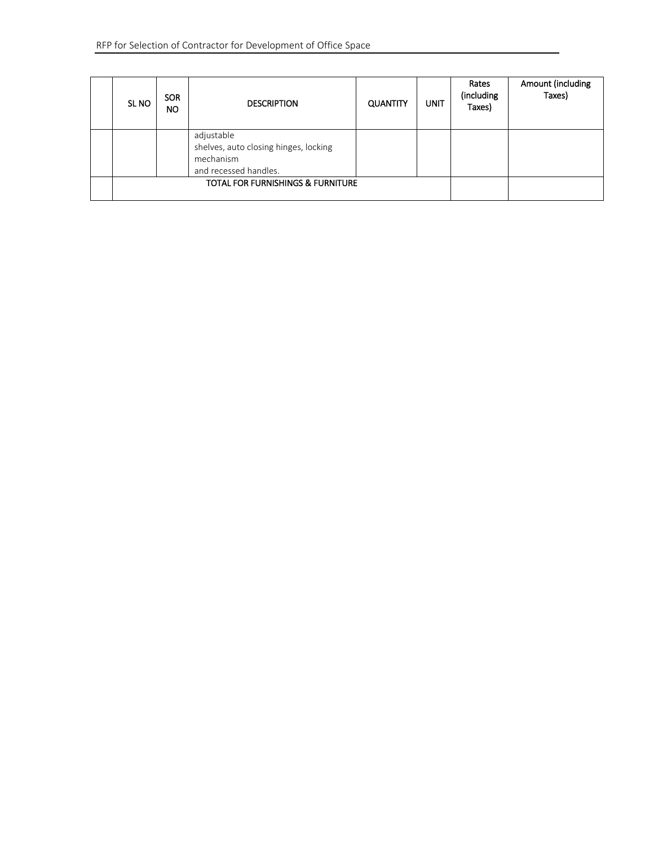| SL <sub>NO</sub> | <b>SOR</b><br>NO. | <b>DESCRIPTION</b>                           | <b>QUANTITY</b> | <b>UNIT</b> | Rates<br>(including<br>Taxes) | Amount (including<br>Taxes) |
|------------------|-------------------|----------------------------------------------|-----------------|-------------|-------------------------------|-----------------------------|
|                  |                   | adjustable                                   |                 |             |                               |                             |
|                  |                   | shelves, auto closing hinges, locking        |                 |             |                               |                             |
|                  |                   | mechanism                                    |                 |             |                               |                             |
|                  |                   | and recessed handles.                        |                 |             |                               |                             |
|                  |                   | <b>TOTAL FOR FURNISHINGS &amp; FURNITURE</b> |                 |             |                               |                             |
|                  |                   |                                              |                 |             |                               |                             |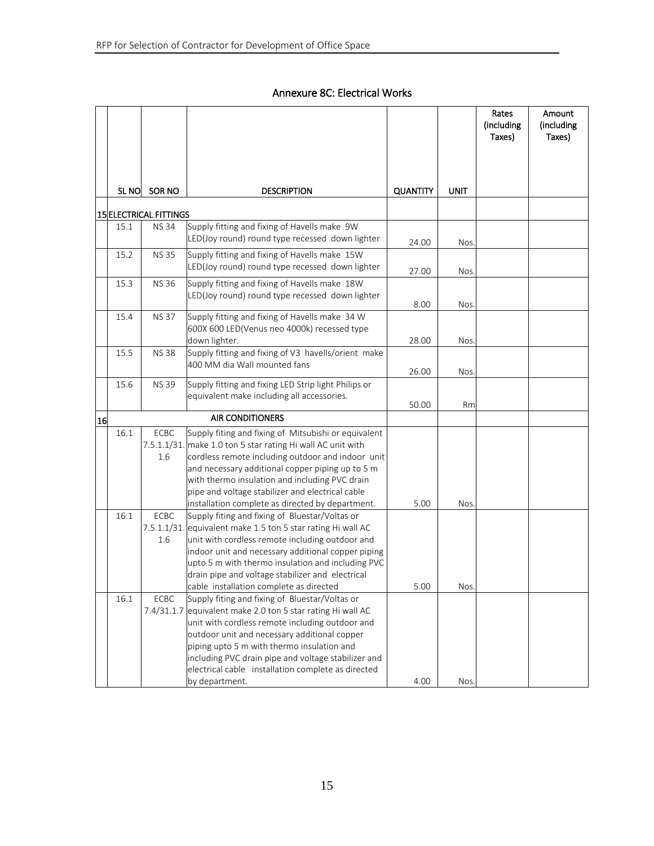# Annexure 8C: Electrical Works

|    |       |                                              |                                                                                                                  |                 |             | Rates<br>(including<br>Taxes) | Amount<br>(including<br>Taxes) |
|----|-------|----------------------------------------------|------------------------------------------------------------------------------------------------------------------|-----------------|-------------|-------------------------------|--------------------------------|
|    |       |                                              |                                                                                                                  |                 |             |                               |                                |
|    |       |                                              |                                                                                                                  |                 |             |                               |                                |
|    | SL NO | SOR NO                                       | <b>DESCRIPTION</b>                                                                                               | <b>QUANTITY</b> | <b>UNIT</b> |                               |                                |
|    |       |                                              |                                                                                                                  |                 |             |                               |                                |
|    | 15.1  | <b>15 ELECTRICAL FITTINGS</b><br><b>NS34</b> | Supply fitting and fixing of Havells make 9W                                                                     |                 |             |                               |                                |
|    |       |                                              | LED(Joy round) round type recessed down lighter                                                                  | 24.00           | Nos.        |                               |                                |
|    | 15.2  | <b>NS 35</b>                                 | Supply fitting and fixing of Havells make 15W                                                                    |                 |             |                               |                                |
|    |       |                                              | LED(Joy round) round type recessed down lighter                                                                  | 27.00           | Nos.        |                               |                                |
|    | 15.3  | <b>NS 36</b>                                 | Supply fitting and fixing of Havells make 18W                                                                    |                 |             |                               |                                |
|    |       |                                              | LED(Joy round) round type recessed down lighter                                                                  |                 |             |                               |                                |
|    | 15.4  | <b>NS37</b>                                  | Supply fitting and fixing of Havells make 34 W                                                                   | 8.00            | Nos.        |                               |                                |
|    |       |                                              | 600X 600 LED(Venus neo 4000k) recessed type                                                                      |                 |             |                               |                                |
|    |       |                                              | down lighter.                                                                                                    | 28.00           | Nos.        |                               |                                |
|    | 15.5  | <b>NS38</b>                                  | Supply fitting and fixing of V3 havells/orient make                                                              |                 |             |                               |                                |
|    |       |                                              | 400 MM dia Wall mounted fans                                                                                     | 26.00           | Nos.        |                               |                                |
|    | 15.6  | <b>NS 39</b>                                 | Supply fitting and fixing LED Strip light Philips or                                                             |                 |             |                               |                                |
|    |       |                                              | equivalent make including all accessories.                                                                       |                 |             |                               |                                |
|    |       |                                              | <b>AIR CONDITIONERS</b>                                                                                          | 50.00           | Rm          |                               |                                |
| 16 |       |                                              |                                                                                                                  |                 |             |                               |                                |
|    | 16.1  | ECBC                                         | Supply fiting and fixing of Mitsubishi or equivalent                                                             |                 |             |                               |                                |
|    |       | 1.6                                          | 7.5.1.1/31. make 1.0 ton 5 star rating Hi wall AC unit with<br>cordless remote including outdoor and indoor unit |                 |             |                               |                                |
|    |       |                                              | and necessary additional copper piping up to 5 m                                                                 |                 |             |                               |                                |
|    |       |                                              | with thermo insulation and including PVC drain                                                                   |                 |             |                               |                                |
|    |       |                                              | pipe and voltage stabilizer and electrical cable                                                                 |                 |             |                               |                                |
|    |       |                                              | installation complete as directed by department.                                                                 | 5.00            | Nos.        |                               |                                |
|    | 16.1  | <b>ECBC</b>                                  | Supply fiting and fixing of Bluestar/Voltas or                                                                   |                 |             |                               |                                |
|    |       |                                              | 7.5.1.1/31. equivalent make 1.5 ton 5 star rating Hi wall AC                                                     |                 |             |                               |                                |
|    |       | 1.6                                          | unit with cordless remote including outdoor and                                                                  |                 |             |                               |                                |
|    |       |                                              | indoor unit and necessary additional copper piping<br>upto 5 m with thermo insulation and including PVC          |                 |             |                               |                                |
|    |       |                                              | drain pipe and voltage stabilizer and electrical                                                                 |                 |             |                               |                                |
|    |       |                                              | cable installation complete as directed                                                                          | 5.00            | Nos.        |                               |                                |
|    | 16.1  | <b>ECBC</b>                                  | Supply fiting and fixing of Bluestar/Voltas or                                                                   |                 |             |                               |                                |
|    |       |                                              | 7.4/31.1.7 equivalent make 2.0 ton 5 star rating Hi wall AC                                                      |                 |             |                               |                                |
|    |       |                                              | unit with cordless remote including outdoor and                                                                  |                 |             |                               |                                |
|    |       |                                              | outdoor unit and necessary additional copper                                                                     |                 |             |                               |                                |
|    |       |                                              | piping upto 5 m with thermo insulation and                                                                       |                 |             |                               |                                |
|    |       |                                              | including PVC drain pipe and voltage stabilizer and<br>electrical cable installation complete as directed        |                 |             |                               |                                |
|    |       |                                              | by department.                                                                                                   | 4.00            | Nos.        |                               |                                |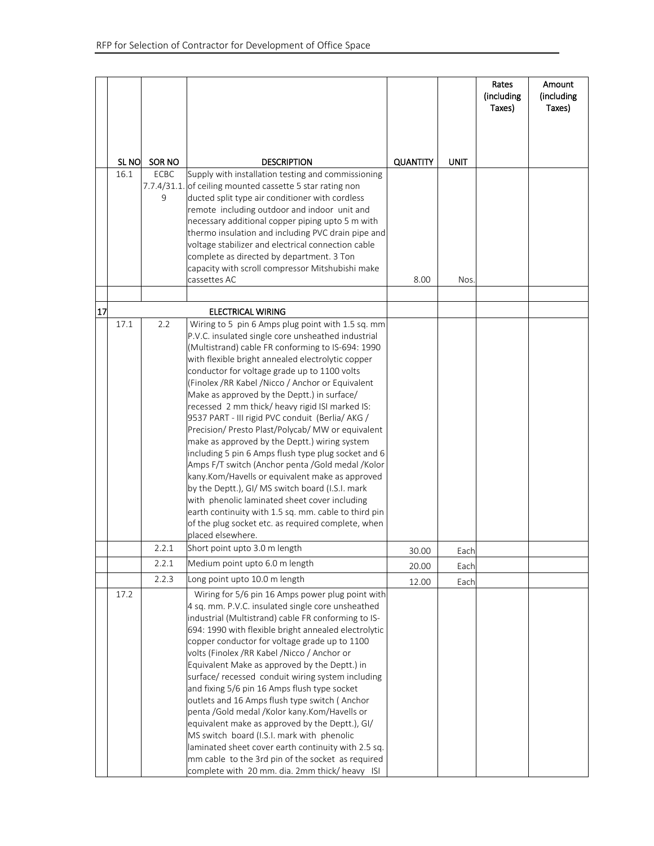|    |                  |             |                                                                                                              |                 |             | Rates<br>(including<br>Taxes) | Amount<br>(including<br>Taxes) |
|----|------------------|-------------|--------------------------------------------------------------------------------------------------------------|-----------------|-------------|-------------------------------|--------------------------------|
|    |                  |             |                                                                                                              |                 |             |                               |                                |
|    |                  |             |                                                                                                              |                 |             |                               |                                |
|    | SL <sub>NO</sub> | SOR NO      | <b>DESCRIPTION</b>                                                                                           | <b>QUANTITY</b> | <b>UNIT</b> |                               |                                |
|    | 16.1             | <b>ECBC</b> | Supply with installation testing and commissioning                                                           |                 |             |                               |                                |
|    |                  | 9           | 7.7.4/31.1. of ceiling mounted cassette 5 star rating non<br>ducted split type air conditioner with cordless |                 |             |                               |                                |
|    |                  |             | remote including outdoor and indoor unit and                                                                 |                 |             |                               |                                |
|    |                  |             | necessary additional copper piping upto 5 m with                                                             |                 |             |                               |                                |
|    |                  |             | thermo insulation and including PVC drain pipe and                                                           |                 |             |                               |                                |
|    |                  |             | voltage stabilizer and electrical connection cable<br>complete as directed by department. 3 Ton              |                 |             |                               |                                |
|    |                  |             | capacity with scroll compressor Mitshubishi make                                                             |                 |             |                               |                                |
|    |                  |             | cassettes AC                                                                                                 | 8.00            | <b>Nos</b>  |                               |                                |
|    |                  |             |                                                                                                              |                 |             |                               |                                |
| 17 |                  |             | <b>ELECTRICAL WIRING</b>                                                                                     |                 |             |                               |                                |
|    | 17.1             | 2.2         | Wiring to 5 pin 6 Amps plug point with 1.5 sq. mm                                                            |                 |             |                               |                                |
|    |                  |             | P.V.C. insulated single core unsheathed industrial                                                           |                 |             |                               |                                |
|    |                  |             | (Multistrand) cable FR conforming to IS-694: 1990                                                            |                 |             |                               |                                |
|    |                  |             | with flexible bright annealed electrolytic copper<br>conductor for voltage grade up to 1100 volts            |                 |             |                               |                                |
|    |                  |             | (Finolex / RR Kabel / Nicco / Anchor or Equivalent                                                           |                 |             |                               |                                |
|    |                  |             | Make as approved by the Deptt.) in surface/                                                                  |                 |             |                               |                                |
|    |                  |             | recessed 2 mm thick/ heavy rigid ISI marked IS:                                                              |                 |             |                               |                                |
|    |                  |             | 9537 PART - III rigid PVC conduit (Berlia/AKG /                                                              |                 |             |                               |                                |
|    |                  |             | Precision/ Presto Plast/Polycab/ MW or equivalent<br>make as approved by the Deptt.) wiring system           |                 |             |                               |                                |
|    |                  |             | including 5 pin 6 Amps flush type plug socket and 6                                                          |                 |             |                               |                                |
|    |                  |             | Amps F/T switch (Anchor penta /Gold medal /Kolor                                                             |                 |             |                               |                                |
|    |                  |             | kany.Kom/Havells or equivalent make as approved                                                              |                 |             |                               |                                |
|    |                  |             | by the Deptt.), GI/ MS switch board (I.S.I. mark                                                             |                 |             |                               |                                |
|    |                  |             | with phenolic laminated sheet cover including                                                                |                 |             |                               |                                |
|    |                  |             | earth continuity with 1.5 sq. mm. cable to third pin<br>of the plug socket etc. as required complete, when   |                 |             |                               |                                |
|    |                  |             | placed elsewhere.                                                                                            |                 |             |                               |                                |
|    |                  | 2.2.1       | Short point upto 3.0 m length                                                                                | 30.00           | Each        |                               |                                |
|    |                  | 2.2.1       | Medium point upto 6.0 m length                                                                               | 20.00           | Each        |                               |                                |
|    |                  | 2.2.3       | Long point upto 10.0 m length                                                                                | 12.00           | Each        |                               |                                |
|    | 17.2             |             | Wiring for 5/6 pin 16 Amps power plug point with<br>4 sq. mm. P.V.C. insulated single core unsheathed        |                 |             |                               |                                |
|    |                  |             | industrial (Multistrand) cable FR conforming to IS-                                                          |                 |             |                               |                                |
|    |                  |             | 694: 1990 with flexible bright annealed electrolytic                                                         |                 |             |                               |                                |
|    |                  |             | copper conductor for voltage grade up to 1100                                                                |                 |             |                               |                                |
|    |                  |             | volts (Finolex /RR Kabel /Nicco / Anchor or                                                                  |                 |             |                               |                                |
|    |                  |             | Equivalent Make as approved by the Deptt.) in<br>surface/ recessed conduit wiring system including           |                 |             |                               |                                |
|    |                  |             | and fixing 5/6 pin 16 Amps flush type socket                                                                 |                 |             |                               |                                |
|    |                  |             | outlets and 16 Amps flush type switch (Anchor                                                                |                 |             |                               |                                |
|    |                  |             | penta /Gold medal /Kolor kany.Kom/Havells or                                                                 |                 |             |                               |                                |
|    |                  |             | equivalent make as approved by the Deptt.), GI/                                                              |                 |             |                               |                                |
|    |                  |             | MS switch board (I.S.I. mark with phenolic                                                                   |                 |             |                               |                                |
|    |                  |             | laminated sheet cover earth continuity with 2.5 sq.<br>mm cable to the 3rd pin of the socket as required     |                 |             |                               |                                |
|    |                  |             | complete with 20 mm. dia. 2mm thick/ heavy ISI                                                               |                 |             |                               |                                |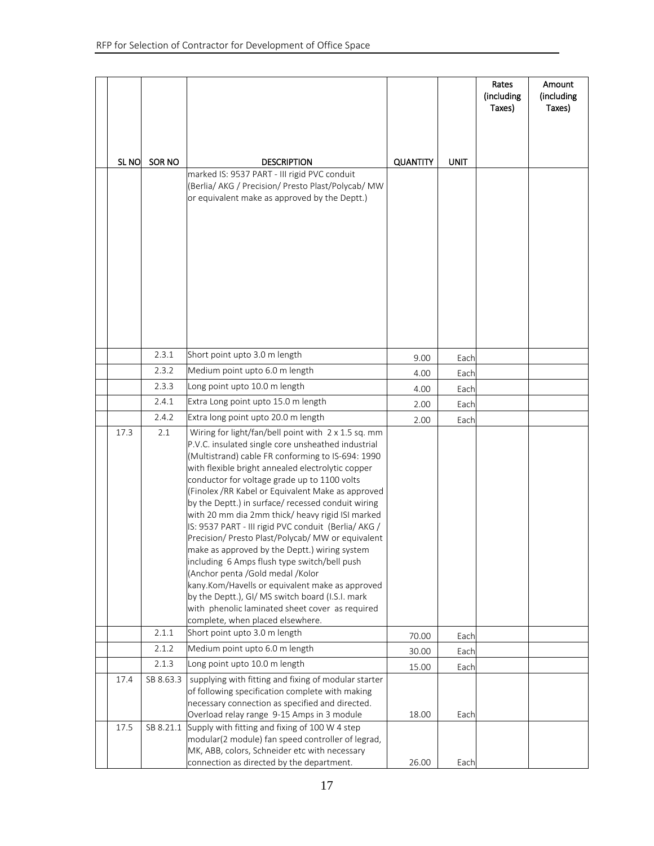|                  |                |                                                                                                        |                 |             | Rates<br>(including<br>Taxes) | Amount<br>(including<br>Taxes) |
|------------------|----------------|--------------------------------------------------------------------------------------------------------|-----------------|-------------|-------------------------------|--------------------------------|
|                  |                |                                                                                                        |                 |             |                               |                                |
|                  |                |                                                                                                        |                 |             |                               |                                |
| SL <sub>NO</sub> | SOR NO         | <b>DESCRIPTION</b><br>marked IS: 9537 PART - III rigid PVC conduit                                     | <b>QUANTITY</b> | <b>UNIT</b> |                               |                                |
|                  |                | (Berlia/ AKG / Precision/ Presto Plast/Polycab/ MW                                                     |                 |             |                               |                                |
|                  |                | or equivalent make as approved by the Deptt.)                                                          |                 |             |                               |                                |
|                  |                |                                                                                                        |                 |             |                               |                                |
|                  |                |                                                                                                        |                 |             |                               |                                |
|                  |                |                                                                                                        |                 |             |                               |                                |
|                  |                |                                                                                                        |                 |             |                               |                                |
|                  |                |                                                                                                        |                 |             |                               |                                |
|                  |                |                                                                                                        |                 |             |                               |                                |
|                  |                |                                                                                                        |                 |             |                               |                                |
|                  |                |                                                                                                        |                 |             |                               |                                |
|                  | 2.3.1          | Short point upto 3.0 m length                                                                          | 9.00            | Each        |                               |                                |
|                  | 2.3.2          | Medium point upto 6.0 m length                                                                         | 4.00            | Each        |                               |                                |
|                  | 2.3.3          | Long point upto 10.0 m length                                                                          | 4.00            | Each        |                               |                                |
|                  | 2.4.1<br>2.4.2 | Extra Long point upto 15.0 m length<br>Extra long point upto 20.0 m length                             | 2.00            | Each        |                               |                                |
| 17.3             | 2.1            | Wiring for light/fan/bell point with 2 x 1.5 sq. mm                                                    | 2.00            | Each        |                               |                                |
|                  |                | P.V.C. insulated single core unsheathed industrial                                                     |                 |             |                               |                                |
|                  |                | (Multistrand) cable FR conforming to IS-694: 1990                                                      |                 |             |                               |                                |
|                  |                | with flexible bright annealed electrolytic copper<br>conductor for voltage grade up to 1100 volts      |                 |             |                               |                                |
|                  |                | (Finolex / RR Kabel or Equivalent Make as approved                                                     |                 |             |                               |                                |
|                  |                | by the Deptt.) in surface/ recessed conduit wiring<br>with 20 mm dia 2mm thick/ heavy rigid ISI marked |                 |             |                               |                                |
|                  |                | IS: 9537 PART - III rigid PVC conduit (Berlia/AKG /                                                    |                 |             |                               |                                |
|                  |                | Precision/ Presto Plast/Polycab/ MW or equivalent                                                      |                 |             |                               |                                |
|                  |                | make as approved by the Deptt.) wiring system<br>including 6 Amps flush type switch/bell push          |                 |             |                               |                                |
|                  |                | (Anchor penta / Gold medal / Kolor                                                                     |                 |             |                               |                                |
|                  |                | kany.Kom/Havells or equivalent make as approved<br>by the Deptt.), GI/ MS switch board (I.S.I. mark    |                 |             |                               |                                |
|                  |                | with phenolic laminated sheet cover as required                                                        |                 |             |                               |                                |
|                  |                | complete, when placed elsewhere.                                                                       |                 |             |                               |                                |
|                  | 2.1.1<br>2.1.2 | Short point upto 3.0 m length<br>Medium point upto 6.0 m length                                        | 70.00           | Each        |                               |                                |
|                  | 2.1.3          | Long point upto 10.0 m length                                                                          | 30.00           | Each        |                               |                                |
| 17.4             | SB 8.63.3      | supplying with fitting and fixing of modular starter                                                   | 15.00           | Each        |                               |                                |
|                  |                | of following specification complete with making                                                        |                 |             |                               |                                |
|                  |                | necessary connection as specified and directed.                                                        | 18.00           | Each        |                               |                                |
| 17.5             | SB 8.21.1      | Overload relay range 9-15 Amps in 3 module<br>Supply with fitting and fixing of 100 W 4 step           |                 |             |                               |                                |
|                  |                | modular(2 module) fan speed controller of legrad,                                                      |                 |             |                               |                                |
|                  |                | MK, ABB, colors, Schneider etc with necessary<br>connection as directed by the department.             | 26.00           | Each        |                               |                                |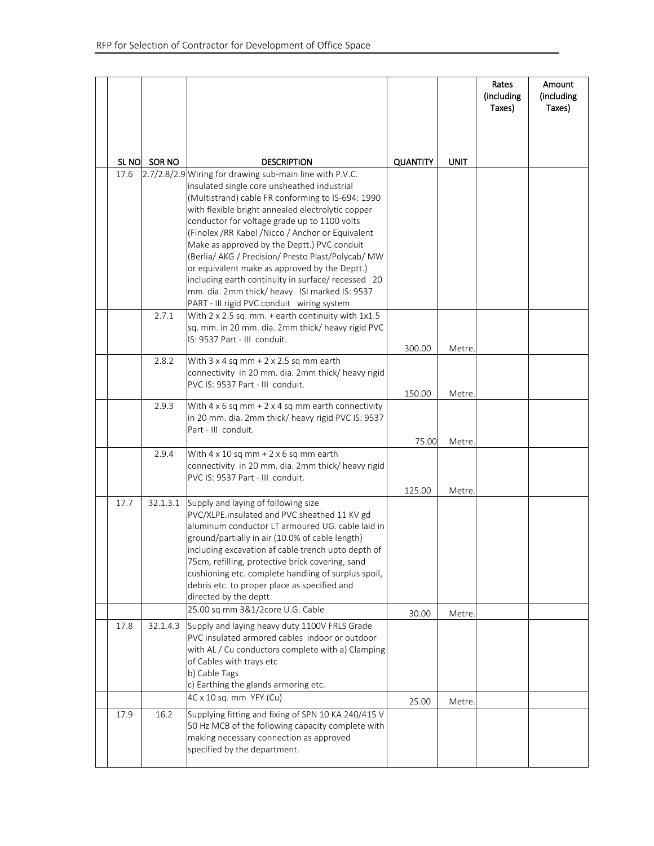|      |            |                                                                                                                                                                                                                                                                                                                                                                                                                                                                                                                                                                                                                                   |                 |             | Rates<br>(including<br>Taxes) | Amount<br>(including<br>Taxes) |
|------|------------|-----------------------------------------------------------------------------------------------------------------------------------------------------------------------------------------------------------------------------------------------------------------------------------------------------------------------------------------------------------------------------------------------------------------------------------------------------------------------------------------------------------------------------------------------------------------------------------------------------------------------------------|-----------------|-------------|-------------------------------|--------------------------------|
|      |            |                                                                                                                                                                                                                                                                                                                                                                                                                                                                                                                                                                                                                                   |                 |             |                               |                                |
|      | SLNO SORNO | <b>DESCRIPTION</b>                                                                                                                                                                                                                                                                                                                                                                                                                                                                                                                                                                                                                | <b>QUANTITY</b> | <b>UNIT</b> |                               |                                |
| 17.6 |            | 2.7/2.8/2.9 Wiring for drawing sub-main line with P.V.C.<br>insulated single core unsheathed industrial<br>(Multistrand) cable FR conforming to IS-694: 1990<br>with flexible bright annealed electrolytic copper<br>conductor for voltage grade up to 1100 volts<br>(Finolex /RR Kabel /Nicco / Anchor or Equivalent<br>Make as approved by the Deptt.) PVC conduit<br>(Berlia/ AKG / Precision/ Presto Plast/Polycab/ MW<br>or equivalent make as approved by the Deptt.)<br>including earth continuity in surface/ recessed 20<br>mm. dia. 2mm thick/ heavy ISI marked IS: 9537<br>PART - III rigid PVC conduit wiring system. |                 |             |                               |                                |
|      | 2.7.1      | With 2 x 2.5 sq. mm. + earth continuity with 1x1.5<br>sq. mm. in 20 mm. dia. 2mm thick/ heavy rigid PVC<br>IS: 9537 Part - III conduit.                                                                                                                                                                                                                                                                                                                                                                                                                                                                                           | 300.00          | Metre.      |                               |                                |
|      | 2.8.2      | With 3 x 4 sq mm + 2 x 2.5 sq mm earth<br>connectivity in 20 mm. dia. 2mm thick/ heavy rigid<br>PVC IS: 9537 Part - III conduit.                                                                                                                                                                                                                                                                                                                                                                                                                                                                                                  | 150.00          | Metre.      |                               |                                |
|      | 2.9.3      | With $4 \times 6$ sq mm + $2 \times 4$ sq mm earth connectivity<br>in 20 mm. dia. 2mm thick/ heavy rigid PVC IS: 9537<br>Part - III conduit.                                                                                                                                                                                                                                                                                                                                                                                                                                                                                      | 75.00           | Metre.      |                               |                                |
|      | 2.9.4      | With $4 \times 10$ sq mm + $2 \times 6$ sq mm earth<br>connectivity in 20 mm. dia. 2mm thick/ heavy rigid<br>PVC IS: 9537 Part - III conduit.                                                                                                                                                                                                                                                                                                                                                                                                                                                                                     | 125.00          | Metre.      |                               |                                |
| 17.7 | 32.1.3.1   | Supply and laying of following size<br>PVC/XLPE.insulated and PVC sheathed 11 KV gd<br>aluminum conductor LT armoured UG. cable laid in<br>ground/partially in air (10.0% of cable length)<br>including excavation af cable trench upto depth of<br>75cm, refilling, protective brick covering, sand<br>cushioning etc. complete handling of surplus spoil,<br>debris etc. to proper place as specified and<br>directed by the deptt.                                                                                                                                                                                             |                 |             |                               |                                |
|      |            | 25.00 sq mm 3&1/2core U.G. Cable                                                                                                                                                                                                                                                                                                                                                                                                                                                                                                                                                                                                  | 30.00           | Metre.      |                               |                                |
| 17.8 | 32.1.4.3   | Supply and laying heavy duty 1100V FRLS Grade<br>PVC insulated armored cables indoor or outdoor<br>with AL / Cu conductors complete with a) Clamping<br>of Cables with trays etc<br>b) Cable Tags<br>c) Earthing the glands armoring etc.                                                                                                                                                                                                                                                                                                                                                                                         |                 |             |                               |                                |
| 17.9 | 16.2       | 4C x 10 sq. mm YFY (Cu)<br>Supplying fitting and fixing of SPN 10 KA 240/415 V<br>50 Hz MCB of the following capacity complete with<br>making necessary connection as approved<br>specified by the department.                                                                                                                                                                                                                                                                                                                                                                                                                    | 25.00           | Metre.      |                               |                                |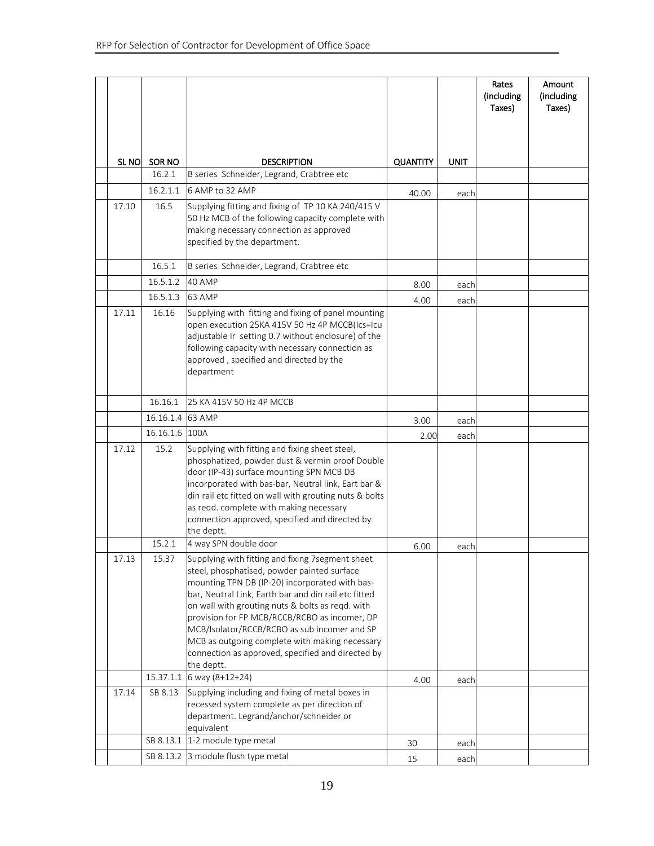|                  |           |                                                                                                                                                                                                                                                                                                                                                                                                                                                                                     |                 |      | Rates<br>(including<br>Taxes) | Amount<br>(including<br>Taxes) |
|------------------|-----------|-------------------------------------------------------------------------------------------------------------------------------------------------------------------------------------------------------------------------------------------------------------------------------------------------------------------------------------------------------------------------------------------------------------------------------------------------------------------------------------|-----------------|------|-------------------------------|--------------------------------|
|                  |           |                                                                                                                                                                                                                                                                                                                                                                                                                                                                                     |                 |      |                               |                                |
|                  |           |                                                                                                                                                                                                                                                                                                                                                                                                                                                                                     |                 |      |                               |                                |
| SL <sub>NO</sub> | SOR NO    | <b>DESCRIPTION</b>                                                                                                                                                                                                                                                                                                                                                                                                                                                                  | <b>QUANTITY</b> | UNIT |                               |                                |
|                  | 16.2.1    | B series Schneider, Legrand, Crabtree etc                                                                                                                                                                                                                                                                                                                                                                                                                                           |                 |      |                               |                                |
|                  | 16.2.1.1  | 6 AMP to 32 AMP                                                                                                                                                                                                                                                                                                                                                                                                                                                                     | 40.00           | each |                               |                                |
| 17.10            | 16.5      | Supplying fitting and fixing of TP 10 KA 240/415 V<br>50 Hz MCB of the following capacity complete with<br>making necessary connection as approved<br>specified by the department.                                                                                                                                                                                                                                                                                                  |                 |      |                               |                                |
|                  | 16.5.1    | B series Schneider, Legrand, Crabtree etc                                                                                                                                                                                                                                                                                                                                                                                                                                           |                 |      |                               |                                |
|                  | 16.5.1.2  | 40 AMP                                                                                                                                                                                                                                                                                                                                                                                                                                                                              | 8.00            | each |                               |                                |
|                  | 16.5.1.3  | 63 AMP                                                                                                                                                                                                                                                                                                                                                                                                                                                                              | 4.00            | each |                               |                                |
| 17.11            | 16.16     | Supplying with fitting and fixing of panel mounting<br>open execution 25KA 415V 50 Hz 4P MCCB(Ics=Icu<br>adjustable Ir setting 0.7 without enclosure) of the<br>following capacity with necessary connection as<br>approved, specified and directed by the<br>department                                                                                                                                                                                                            |                 |      |                               |                                |
|                  | 16.16.1   | 25 KA 415V 50 Hz 4P MCCB                                                                                                                                                                                                                                                                                                                                                                                                                                                            |                 |      |                               |                                |
|                  | 16.16.1.4 | 63 AMP                                                                                                                                                                                                                                                                                                                                                                                                                                                                              | 3.00            | each |                               |                                |
|                  | 16.16.1.6 | 100A                                                                                                                                                                                                                                                                                                                                                                                                                                                                                | 2.00            | each |                               |                                |
| 17.12            | 15.2      | Supplying with fitting and fixing sheet steel,<br>phosphatized, powder dust & vermin proof Double<br>door (IP-43) surface mounting SPN MCB DB<br>incorporated with bas-bar, Neutral link, Eart bar &<br>din rail etc fitted on wall with grouting nuts & bolts<br>as regd. complete with making necessary<br>connection approved, specified and directed by<br>the deptt.                                                                                                           |                 |      |                               |                                |
|                  | 15.2.1    | 4 way SPN double door                                                                                                                                                                                                                                                                                                                                                                                                                                                               | 6.00            | each |                               |                                |
| 17.13            | 15.37     | Supplying with fitting and fixing 7segment sheet<br>steel, phosphatised, powder painted surface<br>mounting TPN DB (IP-20) incorporated with bas-<br>bar, Neutral Link, Earth bar and din rail etc fitted<br>on wall with grouting nuts & bolts as reqd. with<br>provision for FP MCB/RCCB/RCBO as incomer, DP<br>MCB/Isolator/RCCB/RCBO as sub incomer and SP<br>MCB as outgoing complete with making necessary<br>connection as approved, specified and directed by<br>the deptt. |                 |      |                               |                                |
|                  | 15.37.1.1 | 6 way (8+12+24)                                                                                                                                                                                                                                                                                                                                                                                                                                                                     | 4.00            | each |                               |                                |
| 17.14            | SB 8.13   | Supplying including and fixing of metal boxes in<br>recessed system complete as per direction of<br>department. Legrand/anchor/schneider or<br>equivalent                                                                                                                                                                                                                                                                                                                           |                 |      |                               |                                |
|                  | SB 8.13.1 | 1-2 module type metal                                                                                                                                                                                                                                                                                                                                                                                                                                                               | 30              | each |                               |                                |
|                  | SB 8.13.2 | 3 module flush type metal                                                                                                                                                                                                                                                                                                                                                                                                                                                           | 15              | each |                               |                                |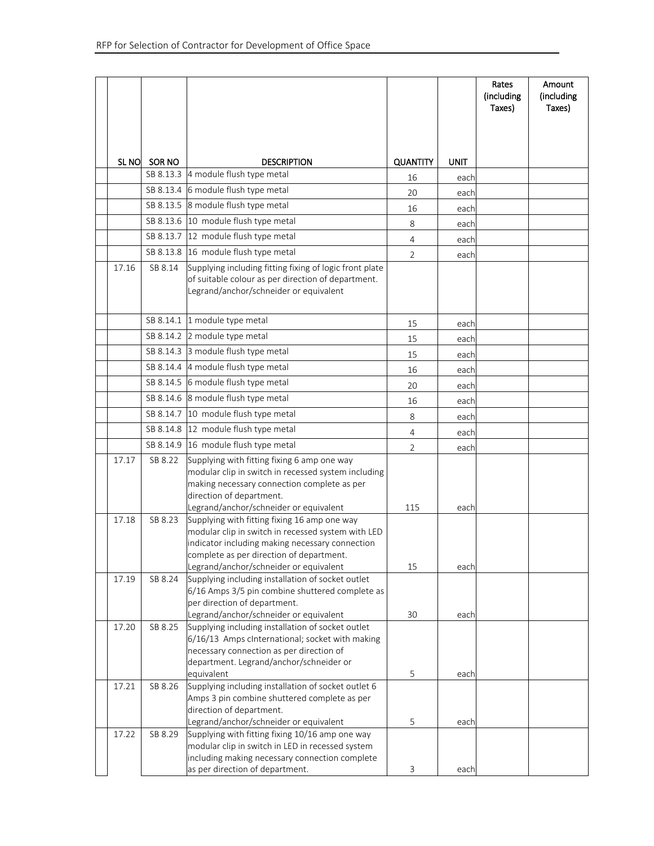|       |            |                                                                                                                                                                                                                                             |                 |      | Rates<br>(including<br>Taxes) | Amount<br>(including<br>Taxes) |
|-------|------------|---------------------------------------------------------------------------------------------------------------------------------------------------------------------------------------------------------------------------------------------|-----------------|------|-------------------------------|--------------------------------|
|       |            |                                                                                                                                                                                                                                             |                 |      |                               |                                |
|       |            |                                                                                                                                                                                                                                             |                 |      |                               |                                |
|       | SLNO SORNO | <b>DESCRIPTION</b>                                                                                                                                                                                                                          | <b>QUANTITY</b> | UNIT |                               |                                |
|       |            | SB 8.13.3 4 module flush type metal                                                                                                                                                                                                         | 16              | each |                               |                                |
|       | SB 8.13.4  | 6 module flush type metal                                                                                                                                                                                                                   | 20              | each |                               |                                |
|       | SB 8.13.5  | 8 module flush type metal                                                                                                                                                                                                                   | 16              | each |                               |                                |
|       | SB 8.13.6  | 10 module flush type metal                                                                                                                                                                                                                  | 8               |      |                               |                                |
|       | SB 8.13.7  | 12 module flush type metal                                                                                                                                                                                                                  |                 | each |                               |                                |
|       |            | SB 8.13.8 16 module flush type metal                                                                                                                                                                                                        | 4               | each |                               |                                |
| 17.16 | SB 8.14    | Supplying including fitting fixing of logic front plate                                                                                                                                                                                     | $\overline{2}$  | each |                               |                                |
|       |            | of suitable colour as per direction of department.<br>Legrand/anchor/schneider or equivalent                                                                                                                                                |                 |      |                               |                                |
|       |            | SB 8.14.1 1 module type metal                                                                                                                                                                                                               | 15              | each |                               |                                |
|       | SB 8.14.2  | 2 module type metal                                                                                                                                                                                                                         | 15              | each |                               |                                |
|       | SB 8.14.3  | 3 module flush type metal                                                                                                                                                                                                                   | 15              | each |                               |                                |
|       | SB 8.14.4  | 4 module flush type metal                                                                                                                                                                                                                   | 16              | each |                               |                                |
|       | SB 8.14.5  | 6 module flush type metal                                                                                                                                                                                                                   | 20              | each |                               |                                |
|       | SB 8.14.6  | 8 module flush type metal                                                                                                                                                                                                                   | 16              | each |                               |                                |
|       |            | SB 8.14.7 10 module flush type metal                                                                                                                                                                                                        | 8               | each |                               |                                |
|       |            | SB 8.14.8 12 module flush type metal                                                                                                                                                                                                        | $\overline{4}$  | each |                               |                                |
|       |            | SB 8.14.9 16 module flush type metal                                                                                                                                                                                                        | 2               | each |                               |                                |
| 17.17 | SB 8.22    | Supplying with fitting fixing 6 amp one way<br>modular clip in switch in recessed system including<br>making necessary connection complete as per<br>direction of department.                                                               |                 |      |                               |                                |
| 17.18 | SB 8.23    | Legrand/anchor/schneider or equivalent<br>Supplying with fitting fixing 16 amp one way<br>modular clip in switch in recessed system with LED<br>indicator including making necessary connection<br>complete as per direction of department. | 115             | each |                               |                                |
|       |            | Legrand/anchor/schneider or equivalent                                                                                                                                                                                                      | 15              | each |                               |                                |
| 17.19 | SB 8.24    | Supplying including installation of socket outlet<br>6/16 Amps 3/5 pin combine shuttered complete as<br>per direction of department.<br>Legrand/anchor/schneider or equivalent                                                              | 30              | each |                               |                                |
| 17.20 | SB 8.25    | Supplying including installation of socket outlet<br>6/16/13 Amps cInternational; socket with making<br>necessary connection as per direction of<br>department. Legrand/anchor/schneider or<br>equivalent                                   | 5               | each |                               |                                |
| 17.21 | SB 8.26    | Supplying including installation of socket outlet 6<br>Amps 3 pin combine shuttered complete as per<br>direction of department.<br>Legrand/anchor/schneider or equivalent                                                                   | 5               | each |                               |                                |
| 17.22 | SB 8.29    | Supplying with fitting fixing 10/16 amp one way<br>modular clip in switch in LED in recessed system<br>including making necessary connection complete<br>as per direction of department.                                                    | 3               | each |                               |                                |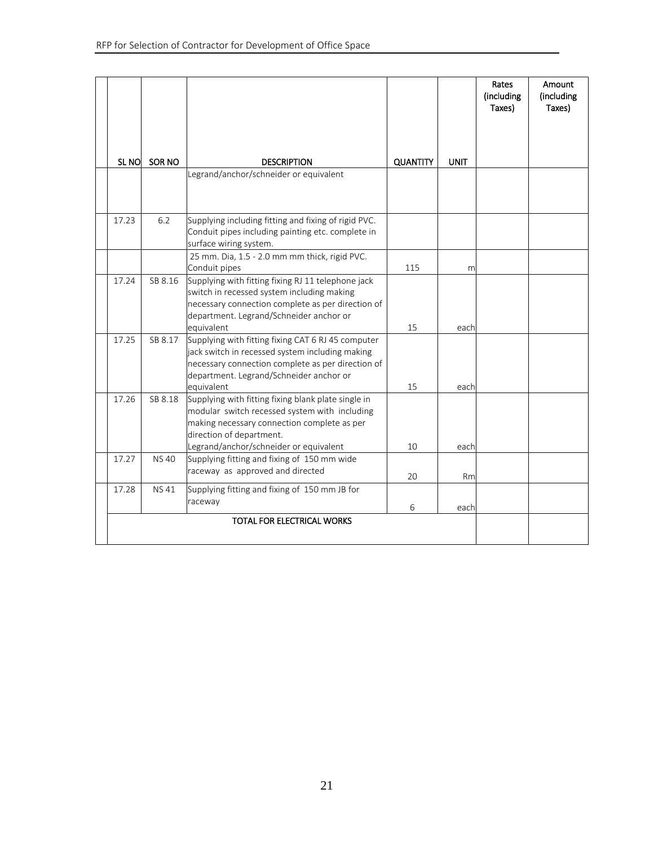|       |             |                                                                                                                                                                                                                           |                 |             | Rates<br>(including<br>Taxes) | Amount<br>(including<br>Taxes) |
|-------|-------------|---------------------------------------------------------------------------------------------------------------------------------------------------------------------------------------------------------------------------|-----------------|-------------|-------------------------------|--------------------------------|
|       |             |                                                                                                                                                                                                                           |                 |             |                               |                                |
|       |             |                                                                                                                                                                                                                           |                 |             |                               |                                |
| SL NO | SOR NO      | <b>DESCRIPTION</b>                                                                                                                                                                                                        | <b>QUANTITY</b> | <b>UNIT</b> |                               |                                |
|       |             | Legrand/anchor/schneider or equivalent                                                                                                                                                                                    |                 |             |                               |                                |
| 17.23 | 6.2         | Supplying including fitting and fixing of rigid PVC.<br>Conduit pipes including painting etc. complete in<br>surface wiring system.                                                                                       |                 |             |                               |                                |
|       |             | 25 mm. Dia, 1.5 - 2.0 mm mm thick, rigid PVC.<br>Conduit pipes                                                                                                                                                            | 115             | m           |                               |                                |
| 17.24 | SB 8.16     | Supplying with fitting fixing RJ 11 telephone jack<br>switch in recessed system including making<br>necessary connection complete as per direction of<br>department. Legrand/Schneider anchor or<br>equivalent            | 15              | each        |                               |                                |
| 17.25 | SB 8.17     | Supplying with fitting fixing CAT 6 RJ 45 computer<br>jack switch in recessed system including making<br>necessary connection complete as per direction of<br>department. Legrand/Schneider anchor or<br>equivalent       | 15              | each        |                               |                                |
| 17.26 | SB 8.18     | Supplying with fitting fixing blank plate single in<br>modular switch recessed system with including<br>making necessary connection complete as per<br>direction of department.<br>Legrand/anchor/schneider or equivalent | 10              | each        |                               |                                |
| 17.27 | <b>NS40</b> | Supplying fitting and fixing of 150 mm wide<br>raceway as approved and directed                                                                                                                                           | 20              | Rm          |                               |                                |
| 17.28 | <b>NS41</b> | Supplying fitting and fixing of 150 mm JB for<br>raceway                                                                                                                                                                  | 6               | each        |                               |                                |
|       |             | TOTAL FOR ELECTRICAL WORKS                                                                                                                                                                                                |                 |             |                               |                                |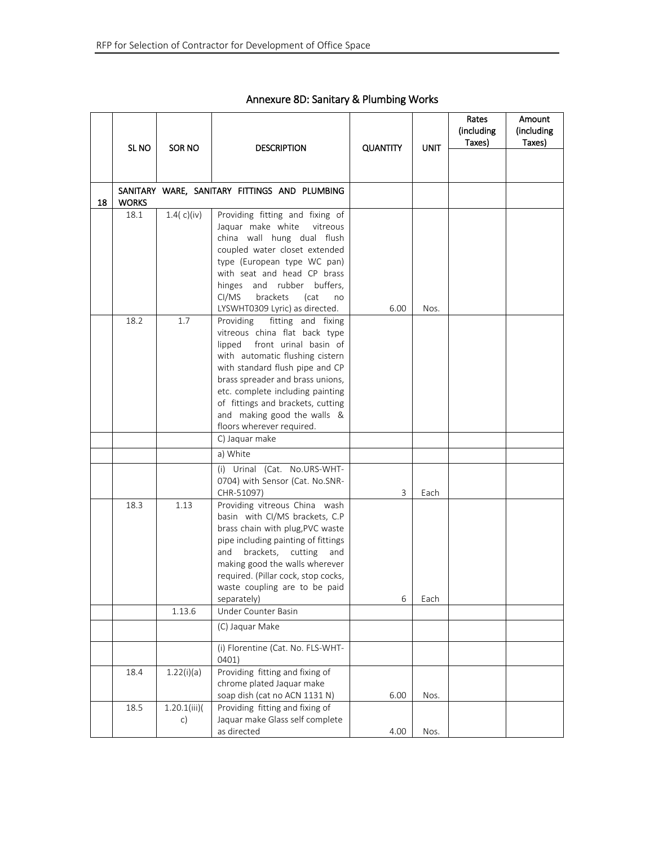|    | SL <sub>NO</sub> | SOR NO            | <b>DESCRIPTION</b>                                                                                                                                                                                                                                                                                                                              | <b>QUANTITY</b> | UNIT | Rates<br>(including<br>Taxes) | Amount<br>(including<br>Taxes) |
|----|------------------|-------------------|-------------------------------------------------------------------------------------------------------------------------------------------------------------------------------------------------------------------------------------------------------------------------------------------------------------------------------------------------|-----------------|------|-------------------------------|--------------------------------|
|    |                  |                   |                                                                                                                                                                                                                                                                                                                                                 |                 |      |                               |                                |
| 18 | <b>WORKS</b>     |                   | SANITARY WARE, SANITARY FITTINGS AND PLUMBING                                                                                                                                                                                                                                                                                                   |                 |      |                               |                                |
|    | 18.1             | 1.4 $(c)(iv)$     | Providing fitting and fixing of<br>Jaquar make white<br>vitreous<br>china wall hung dual flush<br>coupled water closet extended<br>type (European type WC pan)<br>with seat and head CP brass<br>hinges and rubber buffers,<br>brackets<br>CI/MS<br>(cat<br>no<br>LYSWHT0309 Lyric) as directed.                                                | 6.00            | Nos. |                               |                                |
|    | 18.2             | 1.7               | Providing fitting and fixing<br>vitreous china flat back type<br>front urinal basin of<br>lipped<br>with automatic flushing cistern<br>with standard flush pipe and CP<br>brass spreader and brass unions,<br>etc. complete including painting<br>of fittings and brackets, cutting<br>and making good the walls &<br>floors wherever required. |                 |      |                               |                                |
|    |                  |                   | C) Jaquar make                                                                                                                                                                                                                                                                                                                                  |                 |      |                               |                                |
|    |                  |                   | a) White                                                                                                                                                                                                                                                                                                                                        |                 |      |                               |                                |
|    |                  |                   | (i) Urinal (Cat. No.URS-WHT-<br>0704) with Sensor (Cat. No.SNR-<br>CHR-51097)                                                                                                                                                                                                                                                                   | 3               | Each |                               |                                |
|    | 18.3             | 1.13              | Providing vitreous China wash<br>basin with CI/MS brackets, C.P<br>brass chain with plug, PVC waste<br>pipe including painting of fittings<br>and brackets, cutting<br>and<br>making good the walls wherever<br>required. (Pillar cock, stop cocks,<br>waste coupling are to be paid<br>separately)                                             | 6               | Each |                               |                                |
|    |                  | 1.13.6            | Under Counter Basin                                                                                                                                                                                                                                                                                                                             |                 |      |                               |                                |
|    |                  |                   | (C) Jaquar Make                                                                                                                                                                                                                                                                                                                                 |                 |      |                               |                                |
|    |                  |                   | (i) Florentine (Cat. No. FLS-WHT-<br>0401)                                                                                                                                                                                                                                                                                                      |                 |      |                               |                                |
|    | 18.4             | 1.22(i)(a)        | Providing fitting and fixing of<br>chrome plated Jaquar make<br>soap dish (cat no ACN 1131 N)                                                                                                                                                                                                                                                   | 6.00            | Nos. |                               |                                |
|    | 18.5             | 1.20.1(iii)<br>c) | Providing fitting and fixing of<br>Jaquar make Glass self complete<br>as directed                                                                                                                                                                                                                                                               | 4.00            | Nos. |                               |                                |

#### Annexure 8D: Sanitary & Plumbing Works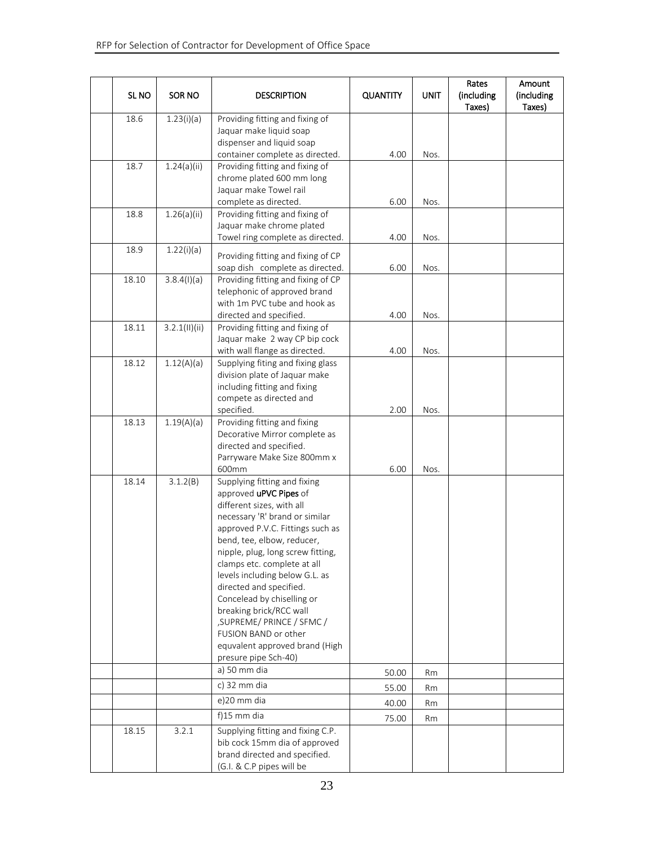| SL NO | SOR NO        | <b>DESCRIPTION</b>                                                                                                                                                                                                                                                                                                                                                                                                                                                                                                        | <b>QUANTITY</b> | <b>UNIT</b>  | Rates<br>(including<br>Taxes) | Amount<br>(including<br>Taxes) |
|-------|---------------|---------------------------------------------------------------------------------------------------------------------------------------------------------------------------------------------------------------------------------------------------------------------------------------------------------------------------------------------------------------------------------------------------------------------------------------------------------------------------------------------------------------------------|-----------------|--------------|-------------------------------|--------------------------------|
| 18.6  | 1.23(i)(a)    | Providing fitting and fixing of<br>Jaquar make liquid soap<br>dispenser and liquid soap<br>container complete as directed.                                                                                                                                                                                                                                                                                                                                                                                                | 4.00            |              |                               |                                |
| 18.7  | 1.24(a)(ii)   | Providing fitting and fixing of<br>chrome plated 600 mm long<br>Jaquar make Towel rail<br>complete as directed.                                                                                                                                                                                                                                                                                                                                                                                                           | 6.00            | Nos.<br>Nos. |                               |                                |
| 18.8  | 1.26(a)(ii)   | Providing fitting and fixing of<br>Jaquar make chrome plated<br>Towel ring complete as directed.                                                                                                                                                                                                                                                                                                                                                                                                                          | 4.00            | Nos.         |                               |                                |
| 18.9  | 1.22(i)(a)    | Providing fitting and fixing of CP<br>soap dish complete as directed.                                                                                                                                                                                                                                                                                                                                                                                                                                                     | 6.00            | Nos.         |                               |                                |
| 18.10 | 3.8.4(1)(a)   | Providing fitting and fixing of CP<br>telephonic of approved brand<br>with 1m PVC tube and hook as<br>directed and specified.                                                                                                                                                                                                                                                                                                                                                                                             | 4.00            | Nos.         |                               |                                |
| 18.11 | 3.2.1(11)(ii) | Providing fitting and fixing of<br>Jaquar make 2 way CP bip cock<br>with wall flange as directed.                                                                                                                                                                                                                                                                                                                                                                                                                         | 4.00            | Nos.         |                               |                                |
| 18.12 | 1.12(A)(a)    | Supplying fiting and fixing glass<br>division plate of Jaquar make<br>including fitting and fixing<br>compete as directed and<br>specified.                                                                                                                                                                                                                                                                                                                                                                               | 2.00            | Nos.         |                               |                                |
| 18.13 | 1.19(A)(a)    | Providing fitting and fixing<br>Decorative Mirror complete as<br>directed and specified.<br>Parryware Make Size 800mm x                                                                                                                                                                                                                                                                                                                                                                                                   |                 |              |                               |                                |
| 18.14 | 3.1.2(B)      | 600mm<br>Supplying fitting and fixing<br>approved uPVC Pipes of<br>different sizes, with all<br>necessary 'R' brand or similar<br>approved P.V.C. Fittings such as<br>bend, tee, elbow, reducer,<br>nipple, plug, long screw fitting,<br>clamps etc. complete at all<br>levels including below G.L. as<br>directed and specified.<br>Concelead by chiselling or<br>breaking brick/RCC wall<br>, SUPREME/ PRINCE / SFMC/<br>FUSION BAND or other<br>equvalent approved brand (High<br>presure pipe Sch-40)<br>a) 50 mm dia | 6.00<br>50.00   | Nos.<br>Rm   |                               |                                |
|       |               | c) 32 mm dia                                                                                                                                                                                                                                                                                                                                                                                                                                                                                                              | 55.00           | Rm           |                               |                                |
|       |               | e)20 mm dia                                                                                                                                                                                                                                                                                                                                                                                                                                                                                                               | 40.00           | Rm           |                               |                                |
|       |               | $f$ )15 mm dia                                                                                                                                                                                                                                                                                                                                                                                                                                                                                                            | 75.00           | Rm           |                               |                                |
| 18.15 | 3.2.1         | Supplying fitting and fixing C.P.<br>bib cock 15mm dia of approved<br>brand directed and specified.<br>(G.I. & C.P pipes will be                                                                                                                                                                                                                                                                                                                                                                                          |                 |              |                               |                                |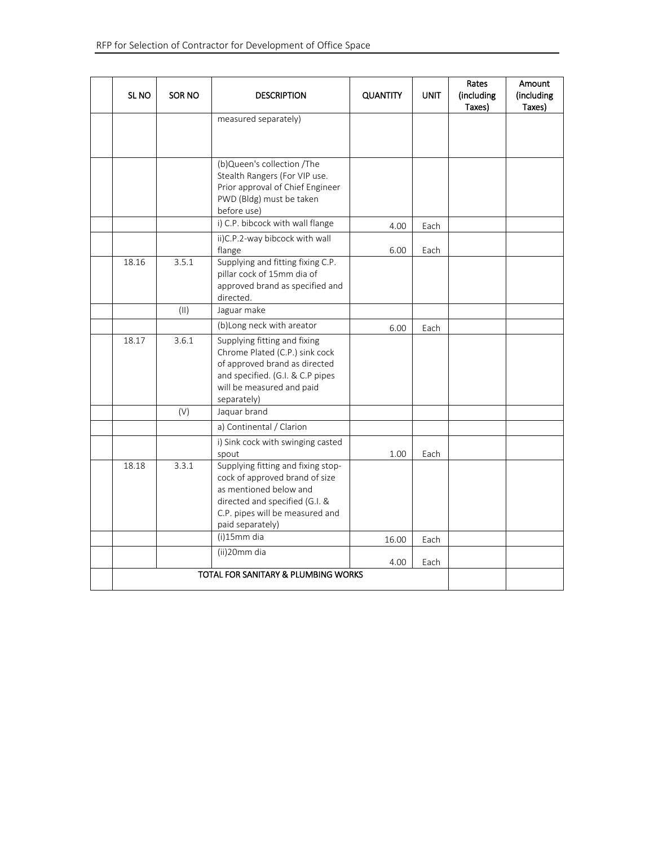| SL <sub>NO</sub> | SOR NO | <b>DESCRIPTION</b>                                                                                                                                                                      | <b>QUANTITY</b> | <b>UNIT</b> | Rates<br>(including<br>Taxes) | Amount<br>(including<br>Taxes) |
|------------------|--------|-----------------------------------------------------------------------------------------------------------------------------------------------------------------------------------------|-----------------|-------------|-------------------------------|--------------------------------|
|                  |        | measured separately)                                                                                                                                                                    |                 |             |                               |                                |
|                  |        |                                                                                                                                                                                         |                 |             |                               |                                |
|                  |        | (b)Queen's collection /The<br>Stealth Rangers (For VIP use.<br>Prior approval of Chief Engineer<br>PWD (Bldg) must be taken<br>before use)                                              |                 |             |                               |                                |
|                  |        | i) C.P. bibcock with wall flange                                                                                                                                                        | 4.00            | Each        |                               |                                |
|                  |        | ii)C.P.2-way bibcock with wall<br>flange                                                                                                                                                | 6.00            | Each        |                               |                                |
| 18.16            | 3.5.1  | Supplying and fitting fixing C.P.<br>pillar cock of 15mm dia of<br>approved brand as specified and<br>directed.                                                                         |                 |             |                               |                                |
|                  | (11)   | Jaguar make                                                                                                                                                                             |                 |             |                               |                                |
|                  |        | (b)Long neck with areator                                                                                                                                                               | 6.00            | Each        |                               |                                |
| 18.17            | 3.6.1  | Supplying fitting and fixing<br>Chrome Plated (C.P.) sink cock<br>of approved brand as directed<br>and specified. (G.I. & C.P pipes<br>will be measured and paid<br>separately)         |                 |             |                               |                                |
|                  | (V)    | Jaquar brand                                                                                                                                                                            |                 |             |                               |                                |
|                  |        | a) Continental / Clarion                                                                                                                                                                |                 |             |                               |                                |
|                  |        | i) Sink cock with swinging casted<br>spout                                                                                                                                              | 1.00            | Each        |                               |                                |
| 18.18            | 3.3.1  | Supplying fitting and fixing stop-<br>cock of approved brand of size<br>as mentioned below and<br>directed and specified (G.I. &<br>C.P. pipes will be measured and<br>paid separately) |                 |             |                               |                                |
|                  |        | (i)15mm dia                                                                                                                                                                             | 16.00           | Each        |                               |                                |
|                  |        | (ii)20mm dia                                                                                                                                                                            | 4.00            | Each        |                               |                                |
|                  |        | <b>TOTAL FOR SANITARY &amp; PLUMBING WORKS</b>                                                                                                                                          |                 |             |                               |                                |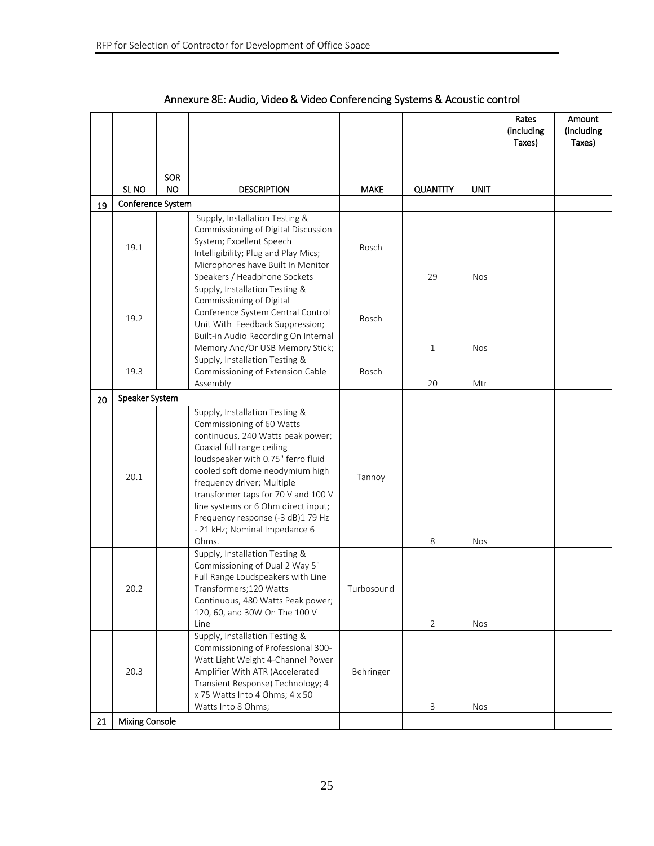|    |                       |            |                                                                                                                                                                                                                                                                                                                                                                                                    |              |                 |             | Rates<br>(including<br>Taxes) | Amount<br>(including<br>Taxes) |
|----|-----------------------|------------|----------------------------------------------------------------------------------------------------------------------------------------------------------------------------------------------------------------------------------------------------------------------------------------------------------------------------------------------------------------------------------------------------|--------------|-----------------|-------------|-------------------------------|--------------------------------|
|    |                       | <b>SOR</b> |                                                                                                                                                                                                                                                                                                                                                                                                    |              |                 |             |                               |                                |
|    | SL <sub>NO</sub>      | <b>NO</b>  | <b>DESCRIPTION</b>                                                                                                                                                                                                                                                                                                                                                                                 | <b>MAKE</b>  | <b>QUANTITY</b> | <b>UNIT</b> |                               |                                |
| 19 | Conference System     |            |                                                                                                                                                                                                                                                                                                                                                                                                    |              |                 |             |                               |                                |
|    | 19.1                  |            | Supply, Installation Testing &<br>Commissioning of Digital Discussion<br>System; Excellent Speech<br>Intelligibility; Plug and Play Mics;<br>Microphones have Built In Monitor<br>Speakers / Headphone Sockets                                                                                                                                                                                     | Bosch        | 29              | <b>Nos</b>  |                               |                                |
|    | 19.2                  |            | Supply, Installation Testing &<br>Commissioning of Digital<br>Conference System Central Control<br>Unit With Feedback Suppression;<br>Built-in Audio Recording On Internal<br>Memory And/Or USB Memory Stick;                                                                                                                                                                                      | Bosch        | $\mathbf{1}$    | <b>Nos</b>  |                               |                                |
|    | 19.3                  |            | Supply, Installation Testing &<br>Commissioning of Extension Cable<br>Assembly                                                                                                                                                                                                                                                                                                                     | <b>Bosch</b> | 20              | Mtr         |                               |                                |
| 20 | Speaker System        |            |                                                                                                                                                                                                                                                                                                                                                                                                    |              |                 |             |                               |                                |
|    | 20.1                  |            | Supply, Installation Testing &<br>Commissioning of 60 Watts<br>continuous, 240 Watts peak power;<br>Coaxial full range ceiling<br>loudspeaker with 0.75" ferro fluid<br>cooled soft dome neodymium high<br>frequency driver; Multiple<br>transformer taps for 70 V and 100 V<br>line systems or 6 Ohm direct input;<br>Frequency response (-3 dB)1 79 Hz<br>- 21 kHz; Nominal Impedance 6<br>Ohms. | Tannoy       | 8               | <b>Nos</b>  |                               |                                |
|    | 20.2                  |            | Supply, Installation Testing &<br>Commissioning of Dual 2 Way 5"<br>Full Range Loudspeakers with Line<br>Transformers; 120 Watts<br>Continuous, 480 Watts Peak power;<br>120, 60, and 30W On The 100 V<br>Line                                                                                                                                                                                     | Turbosound   | $\overline{2}$  | Nos         |                               |                                |
|    | 20.3                  |            | Supply, Installation Testing &<br>Commissioning of Professional 300-<br>Watt Light Weight 4-Channel Power<br>Amplifier With ATR (Accelerated<br>Transient Response) Technology; 4<br>x 75 Watts Into 4 Ohms; 4 x 50<br>Watts Into 8 Ohms;                                                                                                                                                          | Behringer    | 3               | <b>Nos</b>  |                               |                                |
| 21 | <b>Mixing Console</b> |            |                                                                                                                                                                                                                                                                                                                                                                                                    |              |                 |             |                               |                                |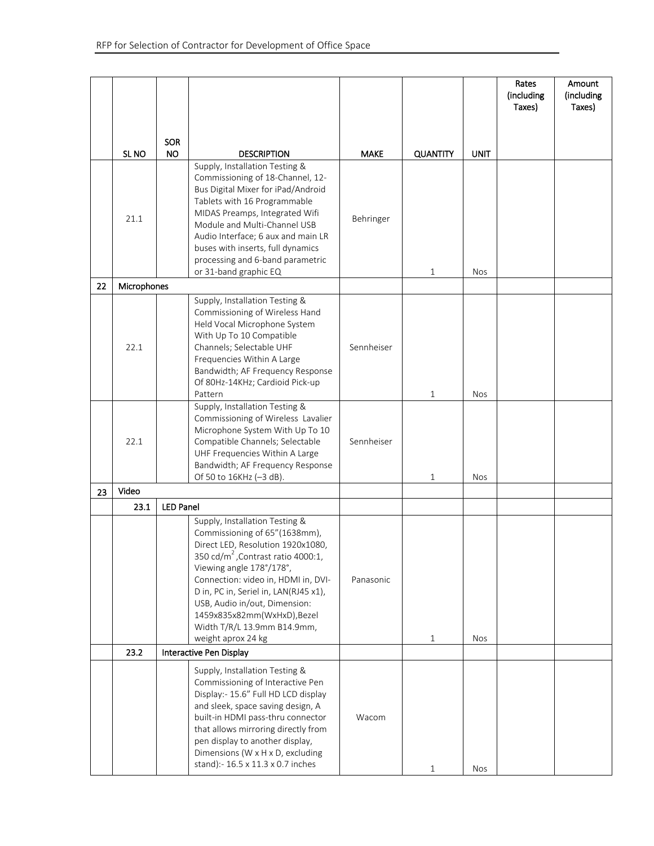|    |                  |                  |                                                                                                                                                                                                                                                                                                                                                                                        |             |                 |             | Rates<br>(including<br>Taxes) | Amount<br>(including<br>Taxes) |
|----|------------------|------------------|----------------------------------------------------------------------------------------------------------------------------------------------------------------------------------------------------------------------------------------------------------------------------------------------------------------------------------------------------------------------------------------|-------------|-----------------|-------------|-------------------------------|--------------------------------|
|    |                  | <b>SOR</b>       |                                                                                                                                                                                                                                                                                                                                                                                        |             |                 |             |                               |                                |
|    | SL <sub>NO</sub> | <b>NO</b>        | <b>DESCRIPTION</b>                                                                                                                                                                                                                                                                                                                                                                     | <b>MAKE</b> | <b>QUANTITY</b> | <b>UNIT</b> |                               |                                |
|    | 21.1             |                  | Supply, Installation Testing &<br>Commissioning of 18-Channel, 12-<br>Bus Digital Mixer for iPad/Android<br>Tablets with 16 Programmable<br>MIDAS Preamps, Integrated Wifi<br>Module and Multi-Channel USB<br>Audio Interface; 6 aux and main LR<br>buses with inserts, full dynamics<br>processing and 6-band parametric<br>or 31-band graphic EQ                                     | Behringer   | $\mathbf{1}$    | <b>Nos</b>  |                               |                                |
| 22 | Microphones      |                  |                                                                                                                                                                                                                                                                                                                                                                                        |             |                 |             |                               |                                |
|    | 22.1             |                  | Supply, Installation Testing &<br>Commissioning of Wireless Hand<br>Held Vocal Microphone System<br>With Up To 10 Compatible<br>Channels; Selectable UHF<br>Frequencies Within A Large<br>Bandwidth; AF Frequency Response<br>Of 80Hz-14KHz; Cardioid Pick-up<br>Pattern                                                                                                               | Sennheiser  | $1\,$           | <b>Nos</b>  |                               |                                |
|    | 22.1             |                  | Supply, Installation Testing &<br>Commissioning of Wireless Lavalier<br>Microphone System With Up To 10<br>Compatible Channels; Selectable<br>UHF Frequencies Within A Large<br>Bandwidth; AF Frequency Response<br>Of 50 to 16KHz (-3 dB).                                                                                                                                            | Sennheiser  | $\mathbf{1}$    | <b>Nos</b>  |                               |                                |
| 23 | Video            |                  |                                                                                                                                                                                                                                                                                                                                                                                        |             |                 |             |                               |                                |
|    | 23.1             | <b>LED Panel</b> |                                                                                                                                                                                                                                                                                                                                                                                        |             |                 |             |                               |                                |
|    |                  |                  | Supply, Installation Testing &<br>Commissioning of 65"(1638mm),<br>Direct LED, Resolution 1920x1080,<br>350 cd/m <sup>2</sup> , Contrast ratio 4000:1,<br>Viewing angle 178°/178°,<br>Connection: video in, HDMI in, DVI-<br>D in, PC in, Seriel in, LAN(RJ45 x1),<br>USB, Audio in/out, Dimension:<br>1459x835x82mm(WxHxD),Bezel<br>Width T/R/L 13.9mm B14.9mm,<br>weight aprox 24 kg | Panasonic   | $1\,$           | <b>Nos</b>  |                               |                                |
|    | 23.2             |                  | Interactive Pen Display                                                                                                                                                                                                                                                                                                                                                                |             |                 |             |                               |                                |
|    |                  |                  | Supply, Installation Testing &<br>Commissioning of Interactive Pen<br>Display:- 15.6" Full HD LCD display<br>and sleek, space saving design, A<br>built-in HDMI pass-thru connector<br>that allows mirroring directly from<br>pen display to another display,<br>Dimensions (W x H x D, excluding<br>stand):- 16.5 x 11.3 x 0.7 inches                                                 | Wacom       | $\mathbf{1}$    | <b>Nos</b>  |                               |                                |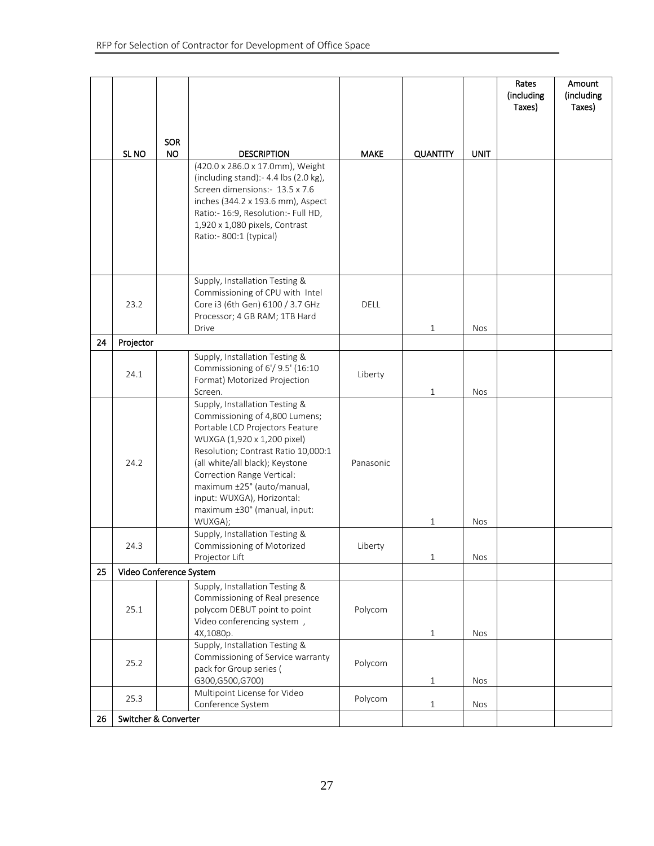|    |                         |           |                                                                     |             |                 |             | Rates<br>(including<br>Taxes) | Amount<br>(including<br>Taxes) |
|----|-------------------------|-----------|---------------------------------------------------------------------|-------------|-----------------|-------------|-------------------------------|--------------------------------|
|    |                         |           |                                                                     |             |                 |             |                               |                                |
|    |                         | SOR       |                                                                     |             |                 |             |                               |                                |
|    | SL <sub>NO</sub>        | <b>NO</b> | <b>DESCRIPTION</b>                                                  | <b>MAKE</b> | <b>QUANTITY</b> | <b>UNIT</b> |                               |                                |
|    |                         |           | (420.0 x 286.0 x 17.0mm), Weight                                    |             |                 |             |                               |                                |
|    |                         |           | (including stand): $-4.4$ lbs (2.0 kg),                             |             |                 |             |                               |                                |
|    |                         |           | Screen dimensions:- 13.5 x 7.6<br>inches (344.2 x 193.6 mm), Aspect |             |                 |             |                               |                                |
|    |                         |           | Ratio:- 16:9, Resolution:- Full HD,                                 |             |                 |             |                               |                                |
|    |                         |           | 1,920 x 1,080 pixels, Contrast                                      |             |                 |             |                               |                                |
|    |                         |           | Ratio:- 800:1 (typical)                                             |             |                 |             |                               |                                |
|    |                         |           |                                                                     |             |                 |             |                               |                                |
|    |                         |           | Supply, Installation Testing &                                      |             |                 |             |                               |                                |
|    |                         |           | Commissioning of CPU with Intel                                     |             |                 |             |                               |                                |
|    | 23.2                    |           | Core i3 (6th Gen) 6100 / 3.7 GHz                                    | <b>DELL</b> |                 |             |                               |                                |
|    |                         |           | Processor; 4 GB RAM; 1TB Hard                                       |             |                 |             |                               |                                |
|    |                         |           | Drive                                                               |             | $\mathbf{1}$    | <b>Nos</b>  |                               |                                |
| 24 | Projector               |           |                                                                     |             |                 |             |                               |                                |
|    |                         |           | Supply, Installation Testing &<br>Commissioning of 6'/ 9.5' (16:10  |             |                 |             |                               |                                |
|    | 24.1                    |           | Format) Motorized Projection                                        | Liberty     |                 |             |                               |                                |
|    |                         |           | Screen.                                                             |             | $\mathbf{1}$    | <b>Nos</b>  |                               |                                |
|    |                         |           | Supply, Installation Testing &                                      |             |                 |             |                               |                                |
|    |                         |           | Commissioning of 4,800 Lumens;<br>Portable LCD Projectors Feature   |             |                 |             |                               |                                |
|    |                         |           | WUXGA (1,920 x 1,200 pixel)                                         |             |                 |             |                               |                                |
|    |                         |           | Resolution; Contrast Ratio 10,000:1                                 |             |                 |             |                               |                                |
|    | 24.2                    |           | (all white/all black); Keystone                                     | Panasonic   |                 |             |                               |                                |
|    |                         |           | Correction Range Vertical:<br>maximum ±25° (auto/manual,            |             |                 |             |                               |                                |
|    |                         |           | input: WUXGA), Horizontal:                                          |             |                 |             |                               |                                |
|    |                         |           | maximum ±30° (manual, input:                                        |             |                 |             |                               |                                |
|    |                         |           | WUXGA);                                                             |             | $\mathbf{1}$    | Nos         |                               |                                |
|    |                         |           | Supply, Installation Testing &<br>Commissioning of Motorized        |             |                 |             |                               |                                |
|    | 24.3                    |           | Projector Lift                                                      | Liberty     | $\mathbf{1}$    | Nos         |                               |                                |
| 25 | Video Conference System |           |                                                                     |             |                 |             |                               |                                |
|    |                         |           | Supply, Installation Testing &                                      |             |                 |             |                               |                                |
|    |                         |           | Commissioning of Real presence                                      |             |                 |             |                               |                                |
|    | 25.1                    |           | polycom DEBUT point to point                                        | Polycom     |                 |             |                               |                                |
|    |                         |           | Video conferencing system,<br>4X,1080p.                             |             | $1\,$           | <b>Nos</b>  |                               |                                |
|    |                         |           | Supply, Installation Testing &                                      |             |                 |             |                               |                                |
|    | 25.2                    |           | Commissioning of Service warranty                                   | Polycom     |                 |             |                               |                                |
|    |                         |           | pack for Group series (                                             |             |                 |             |                               |                                |
|    |                         |           | G300,G500,G700)                                                     |             | $\mathbf{1}$    | <b>Nos</b>  |                               |                                |
|    | 25.3                    |           | Multipoint License for Video<br>Conference System                   | Polycom     | $\mathbf{1}$    | Nos         |                               |                                |
| 26 | Switcher & Converter    |           |                                                                     |             |                 |             |                               |                                |
|    |                         |           |                                                                     |             |                 |             |                               |                                |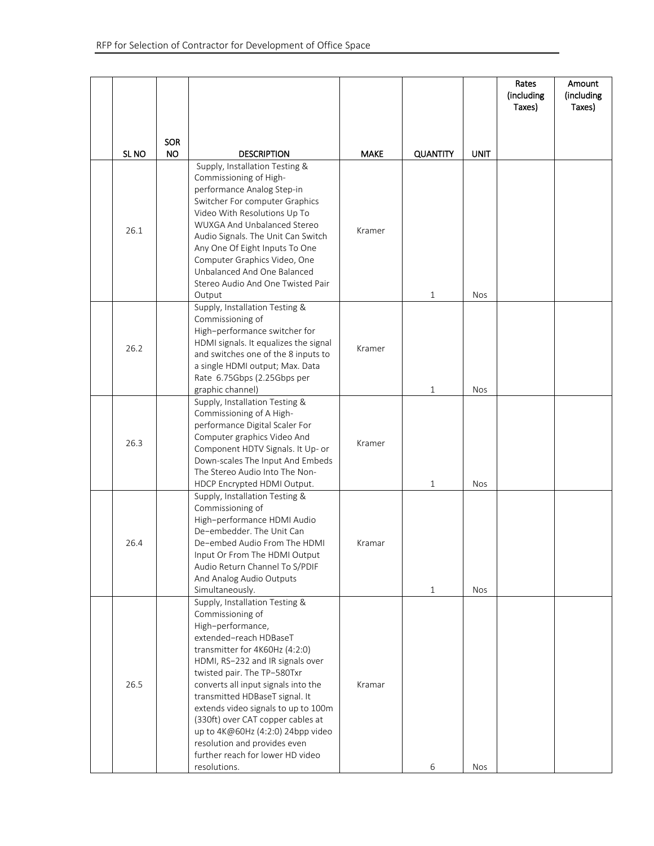|                  |                         |                                                                                                                                                                                                                                                                                                                                                                                                                                                                                      |             |                 |             | Rates<br>(including<br>Taxes) | Amount<br>(including<br>Taxes) |
|------------------|-------------------------|--------------------------------------------------------------------------------------------------------------------------------------------------------------------------------------------------------------------------------------------------------------------------------------------------------------------------------------------------------------------------------------------------------------------------------------------------------------------------------------|-------------|-----------------|-------------|-------------------------------|--------------------------------|
| SL <sub>NO</sub> | <b>SOR</b><br><b>NO</b> | <b>DESCRIPTION</b>                                                                                                                                                                                                                                                                                                                                                                                                                                                                   | <b>MAKE</b> | <b>QUANTITY</b> | <b>UNIT</b> |                               |                                |
| 26.1             |                         | Supply, Installation Testing &<br>Commissioning of High-<br>performance Analog Step-in<br>Switcher For computer Graphics<br>Video With Resolutions Up To<br><b>WUXGA And Unbalanced Stereo</b><br>Audio Signals. The Unit Can Switch<br>Any One Of Eight Inputs To One<br>Computer Graphics Video, One<br>Unbalanced And One Balanced<br>Stereo Audio And One Twisted Pair<br>Output                                                                                                 | Kramer      | $\mathbf{1}$    | <b>Nos</b>  |                               |                                |
| 26.2             |                         | Supply, Installation Testing &<br>Commissioning of<br>High-performance switcher for<br>HDMI signals. It equalizes the signal<br>and switches one of the 8 inputs to<br>a single HDMI output; Max. Data<br>Rate 6.75Gbps (2.25Gbps per<br>graphic channel)                                                                                                                                                                                                                            | Kramer      | $\mathbf{1}$    | <b>Nos</b>  |                               |                                |
| 26.3             |                         | Supply, Installation Testing &<br>Commissioning of A High-<br>performance Digital Scaler For<br>Computer graphics Video And<br>Component HDTV Signals. It Up- or<br>Down-scales The Input And Embeds<br>The Stereo Audio Into The Non-<br>HDCP Encrypted HDMI Output.                                                                                                                                                                                                                | Kramer      | $\mathbf{1}$    | <b>Nos</b>  |                               |                                |
| 26.4             |                         | Supply, Installation Testing &<br>Commissioning of<br>High-performance HDMI Audio<br>De-embedder. The Unit Can<br>De-embed Audio From The HDMI<br>Input Or From The HDMI Output<br>Audio Return Channel To S/PDIF<br>And Analog Audio Outputs<br>Simultaneously.                                                                                                                                                                                                                     | Kramar      | $\mathbf{1}$    | <b>Nos</b>  |                               |                                |
| 26.5             |                         | Supply, Installation Testing &<br>Commissioning of<br>High-performance,<br>extended-reach HDBaseT<br>transmitter for 4K60Hz (4:2:0)<br>HDMI, RS-232 and IR signals over<br>twisted pair. The TP-580Txr<br>converts all input signals into the<br>transmitted HDBaseT signal. It<br>extends video signals to up to 100m<br>(330ft) over CAT copper cables at<br>up to 4K@60Hz (4:2:0) 24bpp video<br>resolution and provides even<br>further reach for lower HD video<br>resolutions. | Kramar      | 6               | <b>Nos</b>  |                               |                                |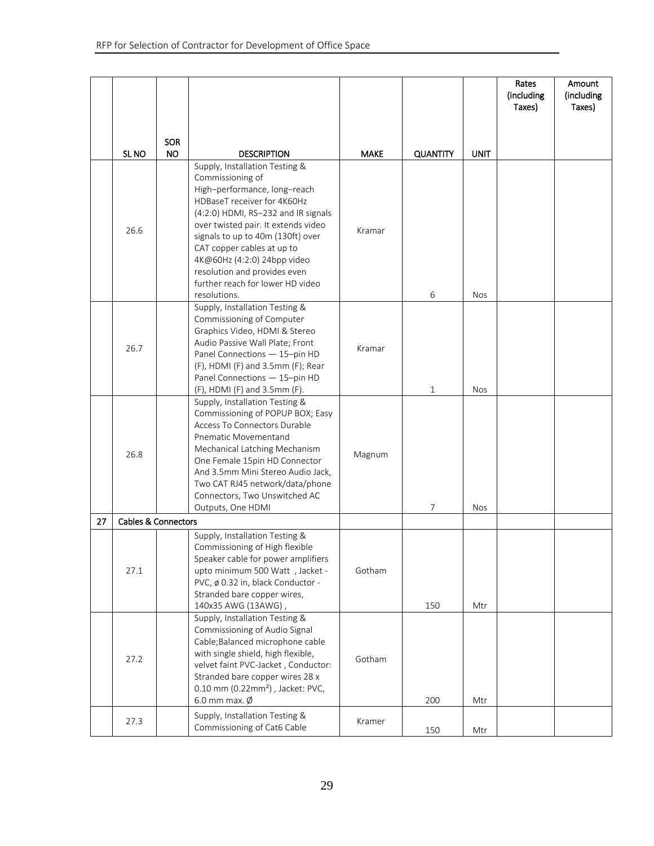|    |                                |                  |                                                                                                                                                                                                                                                                                                                                                                                       |             |                 |             | Rates<br>(including<br>Taxes) | Amount<br>(including<br>Taxes) |
|----|--------------------------------|------------------|---------------------------------------------------------------------------------------------------------------------------------------------------------------------------------------------------------------------------------------------------------------------------------------------------------------------------------------------------------------------------------------|-------------|-----------------|-------------|-------------------------------|--------------------------------|
|    | SL <sub>NO</sub>               | SOR<br><b>NO</b> | <b>DESCRIPTION</b>                                                                                                                                                                                                                                                                                                                                                                    | <b>MAKE</b> | <b>QUANTITY</b> | <b>UNIT</b> |                               |                                |
|    | 26.6                           |                  | Supply, Installation Testing &<br>Commissioning of<br>High-performance, long-reach<br>HDBaseT receiver for 4K60Hz<br>(4:2:0) HDMI, RS-232 and IR signals<br>over twisted pair. It extends video<br>signals to up to 40m (130ft) over<br>CAT copper cables at up to<br>4K@60Hz (4:2:0) 24bpp video<br>resolution and provides even<br>further reach for lower HD video<br>resolutions. | Kramar      | 6               | <b>Nos</b>  |                               |                                |
|    | 26.7                           |                  | Supply, Installation Testing &<br>Commissioning of Computer<br>Graphics Video, HDMI & Stereo<br>Audio Passive Wall Plate; Front<br>Panel Connections - 15-pin HD<br>(F), HDMI (F) and 3.5mm (F); Rear<br>Panel Connections - 15-pin HD<br>(F), HDMI (F) and 3.5mm (F).                                                                                                                | Kramar      | $\mathbf{1}$    | <b>Nos</b>  |                               |                                |
|    | 26.8                           |                  | Supply, Installation Testing &<br>Commissioning of POPUP BOX; Easy<br>Access To Connectors Durable<br>Pnematic Movementand<br>Mechanical Latching Mechanism<br>One Female 15pin HD Connector<br>And 3.5mm Mini Stereo Audio Jack,<br>Two CAT RJ45 network/data/phone<br>Connectors, Two Unswitched AC<br>Outputs, One HDMI                                                            | Magnum      | $\overline{7}$  | <b>Nos</b>  |                               |                                |
| 27 | <b>Cables &amp; Connectors</b> |                  |                                                                                                                                                                                                                                                                                                                                                                                       |             |                 |             |                               |                                |
|    | 27.1                           |                  | Supply, Installation Testing &<br>Commissioning of High flexible<br>Speaker cable for power amplifiers<br>upto minimum 500 Watt, Jacket -<br>PVC, ø 0.32 in, black Conductor -<br>Stranded bare copper wires,<br>140x35 AWG (13AWG),                                                                                                                                                  | Gotham      | 150             | Mtr         |                               |                                |
|    | 27.2                           |                  | Supply, Installation Testing &<br>Commissioning of Audio Signal<br>Cable; Balanced microphone cable<br>with single shield, high flexible,<br>velvet faint PVC-Jacket, Conductor:<br>Stranded bare copper wires 28 x<br>0.10 mm (0.22mm <sup>2</sup> ), Jacket: PVC,<br>6.0 mm max. $\emptyset$                                                                                        | Gotham      | 200             | Mtr         |                               |                                |
|    | 27.3                           |                  | Supply, Installation Testing &<br>Commissioning of Cat6 Cable                                                                                                                                                                                                                                                                                                                         | Kramer      | 150             | Mtr         |                               |                                |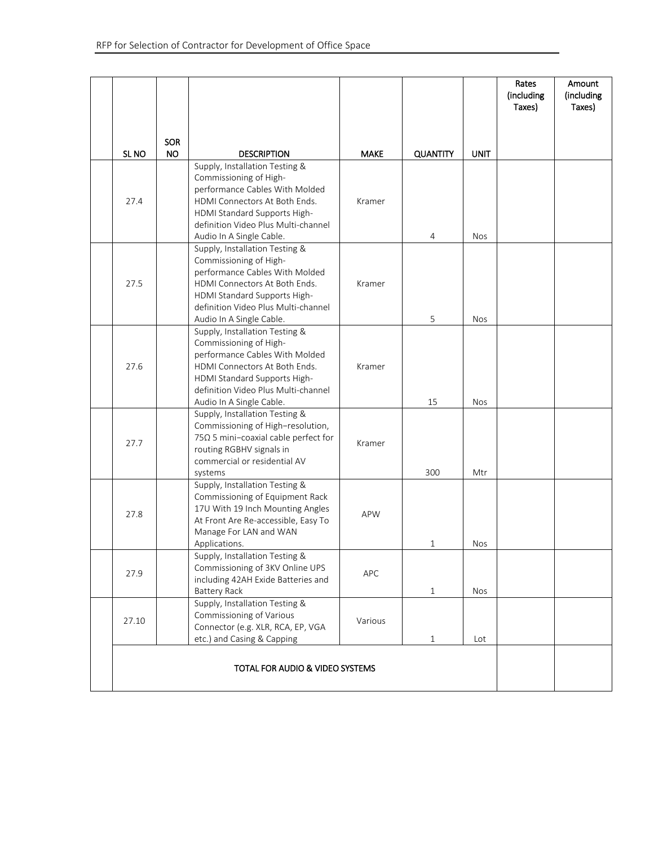|                          |           |                                                                                                                                                                                                                                                      |                       |                      |                    | Rates<br>(including<br>Taxes) | Amount<br>(including<br>Taxes) |
|--------------------------|-----------|------------------------------------------------------------------------------------------------------------------------------------------------------------------------------------------------------------------------------------------------------|-----------------------|----------------------|--------------------|-------------------------------|--------------------------------|
|                          | SOR       |                                                                                                                                                                                                                                                      |                       |                      |                    |                               |                                |
| SL <sub>NO</sub><br>27.4 | <b>NO</b> | <b>DESCRIPTION</b><br>Supply, Installation Testing &<br>Commissioning of High-<br>performance Cables With Molded<br>HDMI Connectors At Both Ends.<br>HDMI Standard Supports High-<br>definition Video Plus Multi-channel<br>Audio In A Single Cable. | <b>MAKE</b><br>Kramer | <b>QUANTITY</b><br>4 | <b>UNIT</b><br>Nos |                               |                                |
| 27.5                     |           | Supply, Installation Testing &<br>Commissioning of High-<br>performance Cables With Molded<br>HDMI Connectors At Both Ends.<br>HDMI Standard Supports High-<br>definition Video Plus Multi-channel<br>Audio In A Single Cable.                       | Kramer                | 5                    | <b>Nos</b>         |                               |                                |
| 27.6                     |           | Supply, Installation Testing &<br>Commissioning of High-<br>performance Cables With Molded<br>HDMI Connectors At Both Ends.<br>HDMI Standard Supports High-<br>definition Video Plus Multi-channel<br>Audio In A Single Cable.                       | Kramer                | 15                   | <b>Nos</b>         |                               |                                |
| 27.7                     |           | Supply, Installation Testing &<br>Commissioning of High-resolution,<br>$75\Omega$ 5 mini-coaxial cable perfect for<br>routing RGBHV signals in<br>commercial or residential AV<br>systems                                                            | Kramer                | 300                  | Mtr                |                               |                                |
| 27.8                     |           | Supply, Installation Testing &<br>Commissioning of Equipment Rack<br>17U With 19 Inch Mounting Angles<br>At Front Are Re-accessible, Easy To<br>Manage For LAN and WAN<br>Applications.                                                              | <b>APW</b>            | $\mathbf{1}$         | <b>Nos</b>         |                               |                                |
| 27.9                     |           | Supply, Installation Testing &<br>Commissioning of 3KV Online UPS<br>including 42AH Exide Batteries and<br><b>Battery Rack</b>                                                                                                                       | <b>APC</b>            | $\mathbf{1}$         | <b>Nos</b>         |                               |                                |
| 27.10                    |           | Supply, Installation Testing &<br>Commissioning of Various<br>Connector (e.g. XLR, RCA, EP, VGA<br>etc.) and Casing & Capping                                                                                                                        | Various               | $\mathbf{1}$         | Lot                |                               |                                |
|                          |           |                                                                                                                                                                                                                                                      |                       |                      |                    |                               |                                |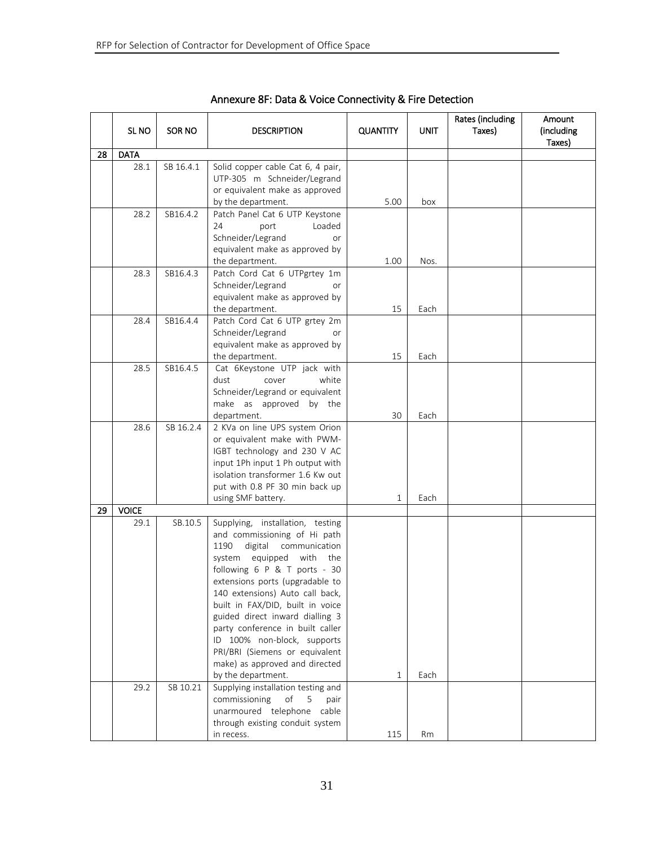|    | SL NO        | SOR NO    | <b>DESCRIPTION</b>                                                                                                                                                                                                                                                                                                                                                                                                                                                                  | <b>QUANTITY</b> | UNIT | Rates (including<br>Taxes) | Amount<br>(including<br>Taxes) |
|----|--------------|-----------|-------------------------------------------------------------------------------------------------------------------------------------------------------------------------------------------------------------------------------------------------------------------------------------------------------------------------------------------------------------------------------------------------------------------------------------------------------------------------------------|-----------------|------|----------------------------|--------------------------------|
| 28 | <b>DATA</b>  |           |                                                                                                                                                                                                                                                                                                                                                                                                                                                                                     |                 |      |                            |                                |
|    | 28.1         | SB 16.4.1 | Solid copper cable Cat 6, 4 pair,<br>UTP-305 m Schneider/Legrand<br>or equivalent make as approved<br>by the department.                                                                                                                                                                                                                                                                                                                                                            | 5.00            | box  |                            |                                |
|    | 28.2         | SB16.4.2  | Patch Panel Cat 6 UTP Keystone<br>24<br>port<br>Loaded<br>Schneider/Legrand<br>or<br>equivalent make as approved by<br>the department.                                                                                                                                                                                                                                                                                                                                              | 1.00            | Nos. |                            |                                |
|    | 28.3         | SB16.4.3  | Patch Cord Cat 6 UTPgrtey 1m<br>Schneider/Legrand<br><b>or</b><br>equivalent make as approved by<br>the department.                                                                                                                                                                                                                                                                                                                                                                 | 15              | Each |                            |                                |
|    | 28.4         | SB16.4.4  | Patch Cord Cat 6 UTP grtey 2m<br>Schneider/Legrand<br><b>or</b><br>equivalent make as approved by<br>the department.                                                                                                                                                                                                                                                                                                                                                                | 15              | Each |                            |                                |
|    | 28.5         | SB16.4.5  | Cat 6Keystone UTP jack with<br>dust<br>cover<br>white<br>Schneider/Legrand or equivalent<br>make as approved by the<br>department.                                                                                                                                                                                                                                                                                                                                                  | 30              | Each |                            |                                |
|    | 28.6         | SB 16.2.4 | 2 KVa on line UPS system Orion<br>or equivalent make with PWM-<br>IGBT technology and 230 V AC<br>input 1Ph input 1 Ph output with<br>isolation transformer 1.6 Kw out<br>put with 0.8 PF 30 min back up<br>using SMF battery.                                                                                                                                                                                                                                                      | 1               | Each |                            |                                |
| 29 | <b>VOICE</b> |           |                                                                                                                                                                                                                                                                                                                                                                                                                                                                                     |                 |      |                            |                                |
|    | 29.1         | SB.10.5   | Supplying, installation, testing<br>and commissioning of Hi path<br>1190<br>digital<br>communication<br>equipped<br>with<br>system<br>the<br>following 6 P & T ports - 30<br>extensions ports (upgradable to<br>140 extensions) Auto call back,<br>built in FAX/DID, built in voice<br>guided direct inward dialling 3<br>party conference in built caller<br>ID 100% non-block, supports<br>PRI/BRI (Siemens or equivalent<br>make) as approved and directed<br>by the department. | 1               | Each |                            |                                |
|    | 29.2         | SB 10.21  | Supplying installation testing and<br>commissioning<br>of<br>pair<br>5<br>unarmoured telephone<br>cable<br>through existing conduit system<br>in recess.                                                                                                                                                                                                                                                                                                                            | 115             | Rm   |                            |                                |

Annexure 8F: Data & Voice Connectivity & Fire Detection